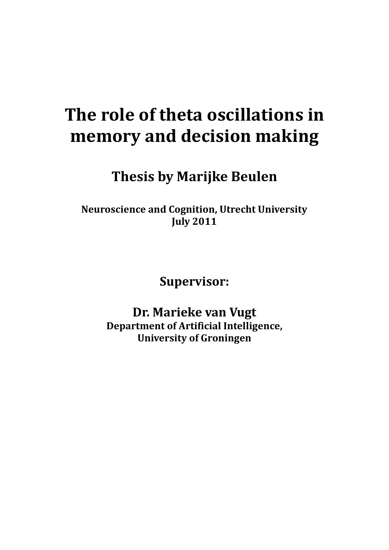# **The role of theta oscillations in memory and decision making**

**Thesis by Marijke Beulen**

**Neuroscience and Cognition, Utrecht University July 2011**

**Supervisor:**

**Dr. Marieke van Vugt Department of Artificial Intelligence, University of Groningen**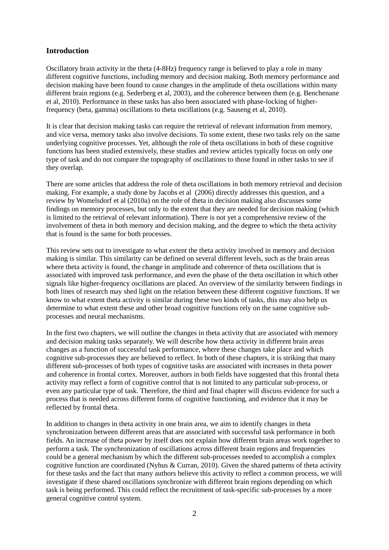# **Introduction**

Oscillatory brain activity in the theta (4-8Hz) frequency range is believed to play a role in many different cognitive functions, including memory and decision making. Both memory performance and decision making have been found to cause changes in the amplitude of theta oscillations within many different brain regions (e.g. Sederberg et al, 2003), and the coherence between them (e.g. Benchenane et al, 2010). Performance in these tasks has also been associated with phase-locking of higherfrequency (beta, gamma) oscillations to theta oscillations (e.g. Sauseng et al, 2010).

It is clear that decision making tasks can require the retrieval of relevant information from memory, and vice versa, memory tasks also involve decisions. To some extent, these two tasks rely on the same underlying cognitive processes. Yet, although the role of theta oscillations in both of these cognitive functions has been studied extensively, these studies and review articles typically focus on only one type of task and do not compare the topography of oscillations to those found in other tasks to see if they overlap.

There are some articles that address the role of theta oscillations in both memory retrieval and decision making. For example, a study done by Jacobs et al (2006) directly addresses this question, and a review by Womelsdorf et al (2010a) on the role of theta in decision making also discusses some findings on memory processes, but only to the extent that they are needed for decision making (which is limited to the retrieval of relevant information). There is not yet a comprehensive review of the involvement of theta in both memory and decision making, and the degree to which the theta activity that is found is the same for both processes.

This review sets out to investigate to what extent the theta activity involved in memory and decision making is similar. This similarity can be defined on several different levels, such as the brain areas where theta activity is found, the change in amplitude and coherence of theta oscillations that is associated with improved task performance, and even the phase of the theta oscillation in which other signals like higher-frequency oscillations are placed. An overview of the similarity between findings in both lines of research may shed light on the relation between these different cognitive functions. If we know to what extent theta activity is similar during these two kinds of tasks, this may also help us determine to what extent these and other broad cognitive functions rely on the same cognitive subprocesses and neural mechanisms.

In the first two chapters, we will outline the changes in theta activity that are associated with memory and decision making tasks separately. We will describe how theta activity in different brain areas changes as a function of successful task performance, where these changes take place and which cognitive sub-processes they are believed to reflect. In both of these chapters, it is striking that many different sub-processes of both types of cognitive tasks are associated with increases in theta power and coherence in frontal cortex. Moreover, authors in both fields have suggested that this frontal theta activity may reflect a form of cognitive control that is not limited to any particular sub-process, or even any particular type of task. Therefore, the third and final chapter will discuss evidence for such a process that is needed across different forms of cognitive functioning, and evidence that it may be reflected by frontal theta.

In addition to changes in theta activity in one brain area, we aim to identify changes in theta synchronization between different areas that are associated with successful task performance in both fields. An increase of theta power by itself does not explain how different brain areas work together to perform a task. The synchronization of oscillations across different brain regions and frequencies could be a general mechanism by which the different sub-processes needed to accomplish a complex cognitive function are coordinated (Nyhus & Curran, 2010). Given the shared patterns of theta activity for these tasks and the fact that many authors believe this activity to reflect a common process, we will investigate if these shared oscillations synchronize with different brain regions depending on which task is being performed. This could reflect the recruitment of task-specific sub-processes by a more general cognitive control system.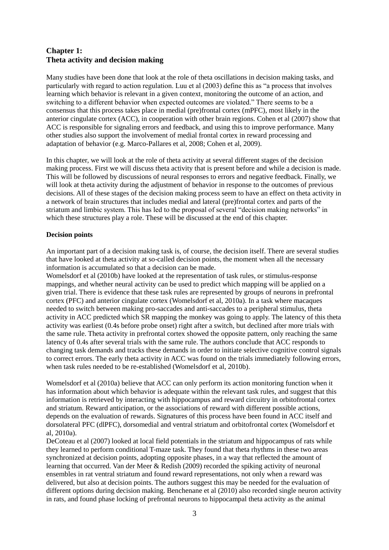# **Chapter 1: Theta activity and decision making**

Many studies have been done that look at the role of theta oscillations in decision making tasks, and particularly with regard to action regulation. Luu et al (2003) define this as "a process that involves learning which behavior is relevant in a given context, monitoring the outcome of an action, and switching to a different behavior when expected outcomes are violated." There seems to be a consensus that this process takes place in medial (pre)frontal cortex (mPFC), most likely in the anterior cingulate cortex (ACC), in cooperation with other brain regions. Cohen et al (2007) show that ACC is responsible for signaling errors and feedback, and using this to improve performance. Many other studies also support the involvement of medial frontal cortex in reward processing and adaptation of behavior (e.g. Marco-Pallares et al, 2008; Cohen et al, 2009).

In this chapter, we will look at the role of theta activity at several different stages of the decision making process. First we will discuss theta activity that is present before and while a decision is made. This will be followed by discussions of neural responses to errors and negative feedback. Finally, we will look at theta activity during the adjustment of behavior in response to the outcomes of previous decisions. All of these stages of the decision making process seem to have an effect on theta activity in a network of brain structures that includes medial and lateral (pre)frontal cortex and parts of the striatum and limbic system. This has led to the proposal of several "decision making networks" in which these structures play a role. These will be discussed at the end of this chapter.

# **Decision points**

An important part of a decision making task is, of course, the decision itself. There are several studies that have looked at theta activity at so-called decision points, the moment when all the necessary information is accumulated so that a decision can be made.

Womelsdorf et al (2010b) have looked at the representation of task rules, or stimulus-response mappings, and whether neural activity can be used to predict which mapping will be applied on a given trial. There is evidence that these task rules are represented by groups of neurons in prefrontal cortex (PFC) and anterior cingulate cortex (Womelsdorf et al, 2010a). In a task where macaques needed to switch between making pro-saccades and anti-saccades to a peripheral stimulus, theta activity in ACC predicted which SR mapping the monkey was going to apply. The latency of this theta activity was earliest (0.4s before probe onset) right after a switch, but declined after more trials with the same rule. Theta activity in prefrontal cortex showed the opposite pattern, only reaching the same latency of 0.4s after several trials with the same rule. The authors conclude that ACC responds to changing task demands and tracks these demands in order to initiate selective cognitive control signals to correct errors. The early theta activity in ACC was found on the trials immediately following errors, when task rules needed to be re-established (Womelsdorf et al, 2010b).

Womelsdorf et al (2010a) believe that ACC can only perform its action monitoring function when it has information about which behavior is adequate within the relevant task rules, and suggest that this information is retrieved by interacting with hippocampus and reward circuitry in orbitofrontal cortex and striatum. Reward anticipation, or the associations of reward with different possible actions, depends on the evaluation of rewards. Signatures of this process have been found in ACC itself and dorsolateral PFC (dlPFC), dorsomedial and ventral striatum and orbitofrontal cortex (Womelsdorf et al, 2010a).

DeCoteau et al (2007) looked at local field potentials in the striatum and hippocampus of rats while they learned to perform conditional T-maze task. They found that theta rhythms in these two areas synchronized at decision points, adopting opposite phases, in a way that reflected the amount of learning that occurred. Van der Meer & Redish (2009) recorded the spiking activity of neuronal ensembles in rat ventral striatum and found reward representations, not only when a reward was delivered, but also at decision points. The authors suggest this may be needed for the evaluation of different options during decision making. Benchenane et al (2010) also recorded single neuron activity in rats, and found phase locking of prefrontal neurons to hippocampal theta activity as the animal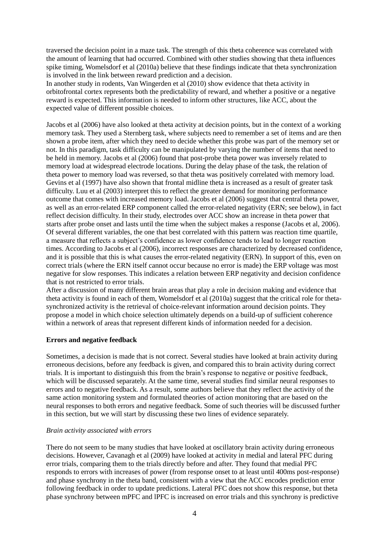traversed the decision point in a maze task. The strength of this theta coherence was correlated with the amount of learning that had occurred. Combined with other studies showing that theta influences spike timing, Womelsdorf et al (2010a) believe that these findings indicate that theta synchronization is involved in the link between reward prediction and a decision.

In another study in rodents, Van Wingerden et al (2010) show evidence that theta activity in orbitofrontal cortex represents both the predictability of reward, and whether a positive or a negative reward is expected. This information is needed to inform other structures, like ACC, about the expected value of different possible choices.

Jacobs et al (2006) have also looked at theta activity at decision points, but in the context of a working memory task. They used a Sternberg task, where subjects need to remember a set of items and are then shown a probe item, after which they need to decide whether this probe was part of the memory set or not. In this paradigm, task difficulty can be manipulated by varying the number of items that need to be held in memory. Jacobs et al (2006) found that post-probe theta power was inversely related to memory load at widespread electrode locations. During the delay phase of the task, the relation of theta power to memory load was reversed, so that theta was positively correlated with memory load. Gevins et al (1997) have also shown that frontal midline theta is increased as a result of greater task difficulty. Luu et al (2003) interpret this to reflect the greater demand for monitoring performance outcome that comes with increased memory load. Jacobs et al (2006) suggest that central theta power, as well as an error-related ERP component called the error-related negativity (ERN; see below), in fact reflect decision difficulty. In their study, electrodes over ACC show an increase in theta power that starts after probe onset and lasts until the time when the subject makes a response (Jacobs et al, 2006). Of several different variables, the one that best correlated with this pattern was reaction time quartile, a measure that reflects a subject's confidence as lower confidence tends to lead to longer reaction times. According to Jacobs et al (2006), incorrect responses are characterized by decreased confidence, and it is possible that this is what causes the error-related negativity (ERN). In support of this, even on correct trials (where the ERN itself cannot occur because no error is made) the ERP voltage was most negative for slow responses. This indicates a relation between ERP negativity and decision confidence that is not restricted to error trials.

After a discussion of many different brain areas that play a role in decision making and evidence that theta activity is found in each of them, Womelsdorf et al (2010a) suggest that the critical role for thetasynchronized activity is the retrieval of choice-relevant information around decision points. They propose a model in which choice selection ultimately depends on a build-up of sufficient coherence within a network of areas that represent different kinds of information needed for a decision.

## **Errors and negative feedback**

Sometimes, a decision is made that is not correct. Several studies have looked at brain activity during erroneous decisions, before any feedback is given, and compared this to brain activity during correct trials. It is important to distinguish this from the brain's response to negative or positive feedback, which will be discussed separately. At the same time, several studies find similar neural responses to errors and to negative feedback. As a result, some authors believe that they reflect the activity of the same action monitoring system and formulated theories of action monitoring that are based on the neural responses to both errors and negative feedback. Some of such theories will be discussed further in this section, but we will start by discussing these two lines of evidence separately.

## *Brain activity associated with errors*

There do not seem to be many studies that have looked at oscillatory brain activity during erroneous decisions. However, Cavanagh et al (2009) have looked at activity in medial and lateral PFC during error trials, comparing them to the trials directly before and after. They found that medial PFC responds to errors with increases of power (from response onset to at least until 400ms post-response) and phase synchrony in the theta band, consistent with a view that the ACC encodes prediction error following feedback in order to update predictions. Lateral PFC does not show this response, but theta phase synchrony between mPFC and lPFC is increased on error trials and this synchrony is predictive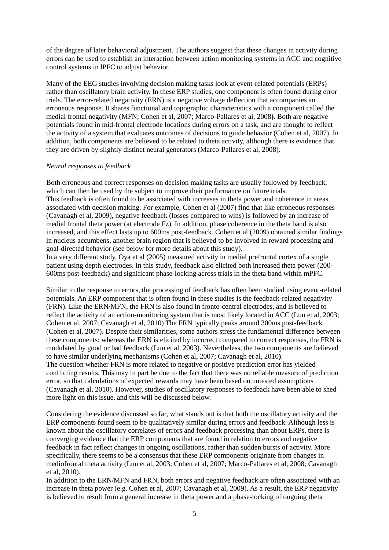of the degree of later behavioral adjustment. The authors suggest that these changes in activity during errors can be used to establish an interaction between action monitoring systems in ACC and cognitive control systems in lPFC to adjust behavior.

Many of the EEG studies involving decision making tasks look at event-related potentials (ERPs) rather than oscillatory brain activity. In these ERP studies, one component is often found during error trials. The error-related negativity (ERN) is a negative voltage deflection that accompanies an erroneous response. It shares functional and topographic characteristics with a component called the medial frontal negativity (MFN; Cohen et al, 2007; Marco-Pallares et al, 2008**)**. Both are negative potentials found in mid-frontal electrode locations during errors on a task, and are thought to reflect the activity of a system that evaluates outcomes of decisions to guide behavior (Cohen et al, 2007). In addition, both components are believed to be related to theta activity, although there is evidence that they are driven by slightly distinct neural generators (Marco-Pallares et al, 2008).

#### *Neural responses to feedback*

Both erroneous and correct responses on decision making tasks are usually followed by feedback, which can then be used by the subject to improve their performance on future trials. This feedback is often found to be associated with increases in theta power and coherence in areas associated with decision making. For example, Cohen et al (2007) find that like erroneous responses (Cavanagh et al, 2009), negative feedback (losses compared to wins) is followed by an increase of medial frontal theta power (at electrode Fz). In addition, phase coherence in the theta band is also increased, and this effect lasts up to 600ms post-feedback. Cohen et al (2009) obtained similar findings in nucleus accumbens, another brain region that is believed to be involved in reward processing and goal-directed behavior (see below for more details about this study).

In a very different study, Oya et al (2005) measured activity in medial prefrontal cortex of a single patient using depth electrodes. In this study, feedback also elicited both increased theta power (200- 600ms post-feedback) and significant phase-locking across trials in the theta band within mPFC.

Similar to the response to errors, the processing of feedback has often been studied using event-related potentials. An ERP component that is often found in these studies is the feedback-related negativity (FRN). Like the ERN/MFN, the FRN is also found in fronto-central electrodes, and is believed to reflect the activity of an action-monitoring system that is most likely located in ACC (Luu et al, 2003; Cohen et al, 2007; Cavanagh et al, 2010) The FRN typically peaks around 300ms post-feedback (Cohen et al, 2007). Despite their similarities, some authors stress the fundamental difference between these components: whereas the ERN is elicited by incorrect compared to correct responses, the FRN is modulated by good or bad feedback (Luu et al, 2003). Nevertheless, the two components are believed to have similar underlying mechanisms (Cohen et al, 2007; Cavanagh et al, 2010**)**. The question whether FRN is more related to negative or positive prediction error has yielded conflicting results. This may in part be due to the fact that there was no reliable measure of prediction error, so that calculations of expected rewards may have been based on untested assumptions (Cavanagh et al, 2010). However, studies of oscillatory responses to feedback have been able to shed more light on this issue, and this will be discussed below.

Considering the evidence discussed so far, what stands out is that both the oscillatory activity and the ERP components found seem to be qualitatively similar during errors and feedback. Although less is known about the oscillatory correlates of errors and feedback processing than about ERPs, there is converging evidence that the ERP components that are found in relation to errors and negative feedback in fact reflect changes in ongoing oscillations, rather than sudden bursts of activity. More specifically, there seems to be a consensus that these ERP components originate from changes in mediofrontal theta activity (Luu et al, 2003; Cohen et al, 2007; Marco-Pallares et al, 2008; Cavanagh et al, 2010).

In addition to the ERN/MFN and FRN, both errors and negative feedback are often associated with an increase in theta power (e.g. Cohen et al, 2007; Cavanagh et al, 2009). As a result, the ERP negativity is believed to result from a general increase in theta power and a phase-locking of ongoing theta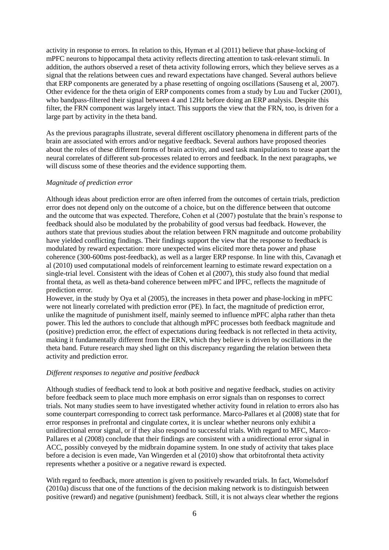activity in response to errors. In relation to this, Hyman et al (2011) believe that phase-locking of mPFC neurons to hippocampal theta activity reflects directing attention to task-relevant stimuli. In addition, the authors observed a reset of theta activity following errors, which they believe serves as a signal that the relations between cues and reward expectations have changed. Several authors believe that ERP components are generated by a phase resetting of ongoing oscillations (Sauseng et al, 2007). Other evidence for the theta origin of ERP components comes from a study by Luu and Tucker (2001), who bandpass-filtered their signal between 4 and 12Hz before doing an ERP analysis. Despite this filter, the FRN component was largely intact. This supports the view that the FRN, too, is driven for a large part by activity in the theta band.

As the previous paragraphs illustrate, several different oscillatory phenomena in different parts of the brain are associated with errors and/or negative feedback. Several authors have proposed theories about the roles of these different forms of brain activity, and used task manipulations to tease apart the neural correlates of different sub-processes related to errors and feedback. In the next paragraphs, we will discuss some of these theories and the evidence supporting them.

#### *Magnitude of prediction error*

Although ideas about prediction error are often inferred from the outcomes of certain trials, prediction error does not depend only on the outcome of a choice, but on the difference between that outcome and the outcome that was expected. Therefore, Cohen et al (2007) postulate that the brain's response to feedback should also be modulated by the probability of good versus bad feedback. However, the authors state that previous studies about the relation between FRN magnitude and outcome probability have yielded conflicting findings. Their findings support the view that the response to feedback is modulated by reward expectation: more unexpected wins elicited more theta power and phase coherence (300-600ms post-feedback), as well as a larger ERP response. In line with this, Cavanagh et al (2010) used computational models of reinforcement learning to estimate reward expectation on a single-trial level. Consistent with the ideas of Cohen et al (2007), this study also found that medial frontal theta, as well as theta-band coherence between mPFC and lPFC, reflects the magnitude of prediction error.

However, in the study by Oya et al (2005), the increases in theta power and phase-locking in mPFC were not linearly correlated with prediction error (PE). In fact, the magnitude of prediction error, unlike the magnitude of punishment itself, mainly seemed to influence mPFC alpha rather than theta power. This led the authors to conclude that although mPFC processes both feedback magnitude and (positive) prediction error, the effect of expectations during feedback is not reflected in theta activity, making it fundamentally different from the ERN, which they believe is driven by oscillations in the theta band. Future research may shed light on this discrepancy regarding the relation between theta activity and prediction error.

#### *Different responses to negative and positive feedback*

Although studies of feedback tend to look at both positive and negative feedback, studies on activity before feedback seem to place much more emphasis on error signals than on responses to correct trials. Not many studies seem to have investigated whether activity found in relation to errors also has some counterpart corresponding to correct task performance. Marco-Pallares et al (2008) state that for error responses in prefrontal and cingulate cortex, it is unclear whether neurons only exhibit a unidirectional error signal, or if they also respond to successful trials. With regard to MFC, Marco-Pallares et al (2008) conclude that their findings are consistent with a unidirectional error signal in ACC, possibly conveyed by the midbrain dopamine system. In one study of activity that takes place before a decision is even made, Van Wingerden et al (2010) show that orbitofrontal theta activity represents whether a positive or a negative reward is expected.

With regard to feedback, more attention is given to positively rewarded trials. In fact, Womelsdorf (2010a) discuss that one of the functions of the decision making network is to distinguish between positive (reward) and negative (punishment) feedback. Still, it is not always clear whether the regions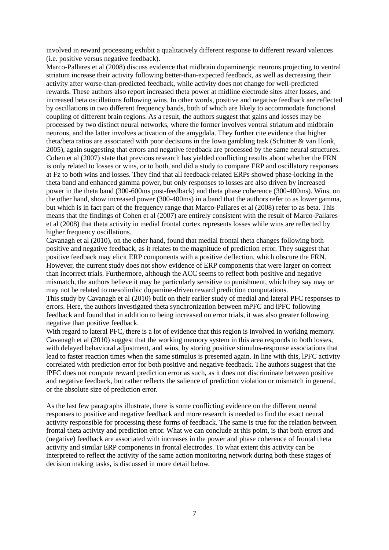involved in reward processing exhibit a qualitatively different response to different reward valences (i.e. positive versus negative feedback).

Marco-Pallares et al (2008) discuss evidence that midbrain dopaminergic neurons projecting to ventral striatum increase their activity following better-than-expected feedback, as well as decreasing their activity after worse-than-predicted feedback, while activity does not change for well-predicted rewards. These authors also report increased theta power at midline electrode sites after losses, and increased beta oscillations following wins. In other words, positive and negative feedback are reflected by oscillations in two different frequency bands, both of which are likely to accommodate functional coupling of different brain regions. As a result, the authors suggest that gains and losses may be processed by two distinct neural networks, where the former involves ventral striatum and midbrain neurons, and the latter involves activation of the amygdala. They further cite evidence that higher theta/beta ratios are associated with poor decisions in the Iowa gambling task (Schutter & van Honk, 2005), again suggesting that errors and negative feedback are processed by the same neural structures. Cohen et al (2007) state that previous research has yielded conflicting results about whether the FRN is only related to losses or wins, or to both, and did a study to compare ERP and oscillatory responses at Fz to both wins and losses. They find that all feedback-related ERPs showed phase-locking in the theta band and enhanced gamma power, but only responses to losses are also driven by increased power in the theta band (300-600ms post-feedback) and theta phase coherence (300-400ms). Wins, on the other hand, show increased power (300-400ms) in a band that the authors refer to as lower gamma, but which is in fact part of the frequency range that Marco-Pallares et al (2008) refer to as beta. This means that the findings of Cohen et al (2007) are entirely consistent with the result of Marco-Pallares et al (2008) that theta activity in medial frontal cortex represents losses while wins are reflected by higher frequency oscillations.

Cavanagh et al (2010), on the other hand, found that medial frontal theta changes following both positive and negative feedback, as it relates to the magnitude of prediction error. They suggest that positive feedback may elicit ERP components with a positive deflection, which obscure the FRN. However, the current study does not show evidence of ERP components that were larger on correct than incorrect trials. Furthermore, although the ACC seems to reflect both positive and negative mismatch, the authors believe it may be particularly sensitive to punishment, which they say may or may not be related to mesolimbic dopamine-driven reward prediction computations.

This study by Cavanagh et al (2010) built on their earlier study of medial and lateral PFC responses to errors. Here, the authors investigated theta synchronization between mPFC and lPFC following feedback and found that in addition to being increased on error trials, it was also greater following negative than positive feedback.

With regard to lateral PFC, there is a lot of evidence that this region is involved in working memory. Cavanagh et al (2010) suggest that the working memory system in this area responds to both losses, with delayed behavioral adjustment, and wins, by storing positive stimulus-response associations that lead to faster reaction times when the same stimulus is presented again. In line with this, lPFC activity correlated with prediction error for both positive and negative feedback. The authors suggest that the lPFC does not compute reward prediction error as such, as it does not discriminate between positive and negative feedback, but rather reflects the salience of prediction violation or mismatch in general, or the absolute size of prediction error.

As the last few paragraphs illustrate, there is some conflicting evidence on the different neural responses to positive and negative feedback and more research is needed to find the exact neural activity responsible for processing these forms of feedback. The same is true for the relation between frontal theta activity and prediction error. What we can conclude at this point, is that both errors and (negative) feedback are associated with increases in the power and phase coherence of frontal theta activity and similar ERP components in frontal electrodes. To what extent this activity can be interpreted to reflect the activity of the same action monitoring network during both these stages of decision making tasks, is discussed in more detail below.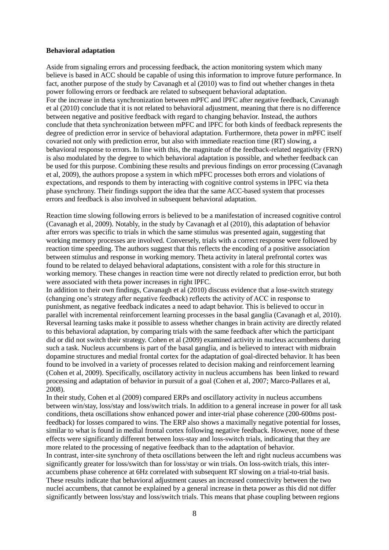#### **Behavioral adaptation**

Aside from signaling errors and processing feedback, the action monitoring system which many believe is based in ACC should be capable of using this information to improve future performance. In fact, another purpose of the study by Cavanagh et al (2010) was to find out whether changes in theta power following errors or feedback are related to subsequent behavioral adaptation. For the increase in theta synchronization between mPFC and lPFC after negative feedback, Cavanagh et al (2010) conclude that it is not related to behavioral adjustment, meaning that there is no difference between negative and positive feedback with regard to changing behavior. Instead, the authors conclude that theta synchronization between mPFC and lPFC for both kinds of feedback represents the degree of prediction error in service of behavioral adaptation. Furthermore, theta power in mPFC itself covaried not only with prediction error, but also with immediate reaction time (RT) slowing, a behavioral response to errors. In line with this, the magnitude of the feedback-related negativity (FRN) is also modulated by the degree to which behavioral adaptation is possible, and whether feedback can be used for this purpose. Combining these results and previous findings on error processing (Cavanagh et al, 2009), the authors propose a system in which mPFC processes both errors and violations of expectations, and responds to them by interacting with cognitive control systems in lPFC via theta phase synchrony. Their findings support the idea that the same ACC-based system that processes errors and feedback is also involved in subsequent behavioral adaptation.

Reaction time slowing following errors is believed to be a manifestation of increased cognitive control (Cavanagh et al, 2009). Notably, in the study by Cavanagh et al (2010), this adaptation of behavior after errors was specific to trials in which the same stimulus was presented again, suggesting that working memory processes are involved. Conversely, trials with a correct response were followed by reaction time speeding. The authors suggest that this reflects the encoding of a positive association between stimulus and response in working memory. Theta activity in lateral prefrontal cortex was found to be related to delayed behavioral adaptations, consistent with a role for this structure in working memory. These changes in reaction time were not directly related to prediction error, but both were associated with theta power increases in right lPFC.

In addition to their own findings, Cavanagh et al (2010) discuss evidence that a lose-switch strategy (changing one's strategy after negative feedback) reflects the activity of ACC in response to punishment, as negative feedback indicates a need to adapt behavior. This is believed to occur in parallel with incremental reinforcement learning processes in the basal ganglia (Cavanagh et al, 2010). Reversal learning tasks make it possible to assess whether changes in brain activity are directly related to this behavioral adaptation, by comparing trials with the same feedback after which the participant did or did not switch their strategy. Cohen et al (2009) examined activity in nucleus accumbens during such a task. Nucleus accumbens is part of the basal ganglia, and is believed to interact with midbrain dopamine structures and medial frontal cortex for the adaptation of goal-directed behavior. It has been found to be involved in a variety of processes related to decision making and reinforcement learning (Cohen et al, 2009). Specifically, oscillatory activity in nucleus accumbens has been linked to reward processing and adaptation of behavior in pursuit of a goal (Cohen et al, 2007; Marco-Pallares et al, 2008).

In their study, Cohen et al (2009) compared ERPs and oscillatory activity in nucleus accumbens between win/stay, loss/stay and loss/switch trials. In addition to a general increase in power for all task conditions, theta oscillations show enhanced power and inter-trial phase coherence (200-600ms postfeedback) for losses compared to wins. The ERP also shows a maximally negative potential for losses, similar to what is found in medial frontal cortex following negative feedback. However, none of these effects were significantly different between loss-stay and loss-switch trials, indicating that they are more related to the processing of negative feedback than to the adaptation of behavior.

In contrast, inter-site synchrony of theta oscillations between the left and right nucleus accumbens was significantly greater for loss/switch than for loss/stay or win trials. On loss-switch trials, this interaccumbens phase coherence at 6Hz correlated with subsequent RT slowing on a trial-to-trial basis. These results indicate that behavioral adjustment causes an increased connectivity between the two nuclei accumbens, that cannot be explained by a general increase in theta power as this did not differ significantly between loss/stay and loss/switch trials. This means that phase coupling between regions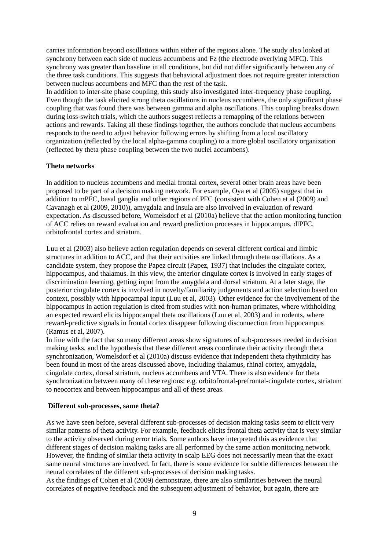carries information beyond oscillations within either of the regions alone. The study also looked at synchrony between each side of nucleus accumbens and Fz (the electrode overlying MFC). This synchrony was greater than baseline in all conditions, but did not differ significantly between any of the three task conditions. This suggests that behavioral adjustment does not require greater interaction between nucleus accumbens and MFC than the rest of the task.

In addition to inter-site phase coupling, this study also investigated inter-frequency phase coupling. Even though the task elicited strong theta oscillations in nucleus accumbens, the only significant phase coupling that was found there was between gamma and alpha oscillations. This coupling breaks down during loss-switch trials, which the authors suggest reflects a remapping of the relations between actions and rewards. Taking all these findings together, the authors conclude that nucleus accumbens responds to the need to adjust behavior following errors by shifting from a local oscillatory organization (reflected by the local alpha-gamma coupling) to a more global oscillatory organization (reflected by theta phase coupling between the two nuclei accumbens).

## **Theta networks**

In addition to nucleus accumbens and medial frontal cortex, several other brain areas have been proposed to be part of a decision making network. For example, Oya et al (2005) suggest that in addition to mPFC, basal ganglia and other regions of PFC (consistent with Cohen et al (2009) and Cavanagh et al (2009, 2010)), amygdala and insula are also involved in evaluation of reward expectation. As discussed before, Womelsdorf et al (2010a) believe that the action monitoring function of ACC relies on reward evaluation and reward prediction processes in hippocampus, dlPFC, orbitofrontal cortex and striatum.

Luu et al (2003) also believe action regulation depends on several different cortical and limbic structures in addition to ACC, and that their activities are linked through theta oscillations. As a candidate system, they propose the Papez circuit (Papez, 1937) that includes the cingulate cortex, hippocampus, and thalamus. In this view, the anterior cingulate cortex is involved in early stages of discrimination learning, getting input from the amygdala and dorsal striatum. At a later stage, the posterior cingulate cortex is involved in novelty/familiarity judgements and action selection based on context, possibly with hippocampal input (Luu et al, 2003). Other evidence for the involvement of the hippocampus in action regulation is cited from studies with non-human primates, where withholding an expected reward elicits hippocampal theta oscillations (Luu et al, 2003) and in rodents, where reward-predictive signals in frontal cortex disappear following disconnection from hippocampus (Ramus et al, 2007).

In line with the fact that so many different areas show signatures of sub-processes needed in decision making tasks, and the hypothesis that these different areas coordinate their activity through theta synchronization, Womelsdorf et al (2010a) discuss evidence that independent theta rhythmicity has been found in most of the areas discussed above, including thalamus, rhinal cortex, amygdala, cingulate cortex, dorsal striatum, nucleus accumbens and VTA. There is also evidence for theta synchronization between many of these regions: e.g. orbitofrontal-prefrontal-cingulate cortex, striatum to neocortex and between hippocampus and all of these areas.

#### **Different sub-processes, same theta?**

As we have seen before, several different sub-processes of decision making tasks seem to elicit very similar patterns of theta activity. For example, feedback elicits frontal theta activity that is very similar to the activity observed during error trials. Some authors have interpreted this as evidence that different stages of decision making tasks are all performed by the same action monitoring network. However, the finding of similar theta activity in scalp EEG does not necessarily mean that the exact same neural structures are involved. In fact, there is some evidence for subtle differences between the neural correlates of the different sub-processes of decision making tasks.

As the findings of Cohen et al (2009) demonstrate, there are also similarities between the neural correlates of negative feedback and the subsequent adjustment of behavior, but again, there are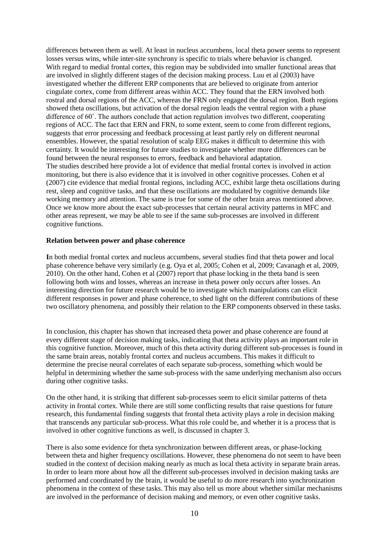differences between them as well. At least in nucleus accumbens, local theta power seems to represent losses versus wins, while inter-site synchrony is specific to trials where behavior is changed. With regard to medial frontal cortex, this region may be subdivided into smaller functional areas that are involved in slightly different stages of the decision making process. Luu et al (2003) have investigated whether the different ERP components that are believed to originate from anterior cingulate cortex, come from different areas within ACC. They found that the ERN involved both rostral and dorsal regions of the ACC, whereas the FRN only engaged the dorsal region. Both regions showed theta oscillations, but activation of the dorsal region leads the ventral region with a phase difference of 60˚. The authors conclude that action regulation involves two different, cooperating regions of ACC. The fact that ERN and FRN, to some extent, seem to come from different regions, suggests that error processing and feedback processing at least partly rely on different neuronal ensembles. However, the spatial resolution of scalp EEG makes it difficult to determine this with certainty. It would be interesting for future studies to investigate whether more differences can be found between the neural responses to errors, feedback and behavioral adaptation. The studies described here provide a lot of evidence that medial frontal cortex is involved in action monitoring, but there is also evidence that it is involved in other cognitive processes. Cohen et al (2007) cite evidence that medial frontal regions, including ACC, exhibit large theta oscillations during rest, sleep and cognitive tasks, and that these oscillations are modulated by cognitive demands like working memory and attention. The same is true for some of the other brain areas mentioned above. Once we know more about the exact sub-processes that certain neural activity patterns in MFC and other areas represent, we may be able to see if the same sub-processes are involved in different cognitive functions.

#### **Relation between power and phase coherence**

**I**n both medial frontal cortex and nucleus accumbens, several studies find that theta power and local phase coherence behave very similarly (e.g. Oya et al, 2005; Cohen et al, 2009; Cavanagh et al, 2009, 2010). On the other hand, Cohen et al (2007) report that phase locking in the theta band is seen following both wins and losses, whereas an increase in theta power only occurs after losses. An interesting direction for future research would be to investigate which manipulations can elicit different responses in power and phase coherence, to shed light on the different contributions of these two oscillatory phenomena, and possibly their relation to the ERP components observed in these tasks.

In conclusion, this chapter has shown that increased theta power and phase coherence are found at every different stage of decision making tasks, indicating that theta activity plays an important role in this cognitive function. Moreover, much of this theta activity during different sub-processes is found in the same brain areas, notably frontal cortex and nucleus accumbens. This makes it difficult to determine the precise neural correlates of each separate sub-process, something which would be helpful in determining whether the same sub-process with the same underlying mechanism also occurs during other cognitive tasks.

On the other hand, it is striking that different sub-processes seem to elicit similar patterns of theta activity in frontal cortex. While there are still some conflicting results that raise questions for future research, this fundamental finding suggests that frontal theta activity plays a role in decision making that transcends any particular sub-process. What this role could be, and whether it is a process that is involved in other cognitive functions as well, is discussed in chapter 3.

There is also some evidence for theta synchronization between different areas, or phase-locking between theta and higher frequency oscillations. However, these phenomena do not seem to have been studied in the context of decision making nearly as much as local theta activity in separate brain areas. In order to learn more about how all the different sub-processes involved in decision making tasks are performed and coordinated by the brain, it would be useful to do more research into synchronization phenomena in the context of these tasks. This may also tell us more about whether similar mechanisms are involved in the performance of decision making and memory, or even other cognitive tasks.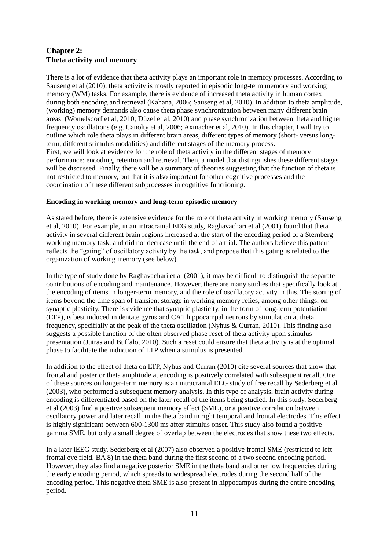# **Chapter 2: Theta activity and memory**

There is a lot of evidence that theta activity plays an important role in memory processes. According to Sauseng et al (2010), theta activity is mostly reported in episodic long-term memory and working memory (WM) tasks. For example, there is evidence of increased theta activity in human cortex during both encoding and retrieval (Kahana, 2006; Sauseng et al, 2010). In addition to theta amplitude, (working) memory demands also cause theta phase synchronization between many different brain areas (Womelsdorf et al, 2010; Düzel et al, 2010) and phase synchronization between theta and higher frequency oscillations (e.g. Canolty et al, 2006; Axmacher et al, 2010). In this chapter, I will try to outline which role theta plays in different brain areas, different types of memory (short- versus longterm, different stimulus modalities) and different stages of the memory process. First, we will look at evidence for the role of theta activity in the different stages of memory performance: encoding, retention and retrieval. Then, a model that distinguishes these different stages will be discussed. Finally, there will be a summary of theories suggesting that the function of theta is not restricted to memory, but that it is also important for other cognitive processes and the coordination of these different subprocesses in cognitive functioning.

# **Encoding in working memory and long-term episodic memory**

As stated before, there is extensive evidence for the role of theta activity in working memory (Sauseng et al, 2010). For example, in an intracranial EEG study, Raghavachari et al (2001) found that theta activity in several different brain regions increased at the start of the encoding period of a Sternberg working memory task, and did not decrease until the end of a trial. The authors believe this pattern reflects the "gating" of oscillatory activity by the task, and propose that this gating is related to the organization of working memory (see below).

In the type of study done by Raghavachari et al (2001), it may be difficult to distinguish the separate contributions of encoding and maintenance. However, there are many studies that specifically look at the encoding of items in longer-term memory, and the role of oscillatory activity in this. The storing of items beyond the time span of transient storage in working memory relies, among other things, on synaptic plasticity. There is evidence that synaptic plasticity, in the form of long-term potentiation (LTP), is best induced in dentate gyrus and CA1 hippocampal neurons by stimulation at theta frequency, specifially at the peak of the theta oscillation (Nyhus & Curran, 2010). This finding also suggests a possible function of the often observed phase reset of theta activity upon stimulus presentation (Jutras and Buffalo, 2010). Such a reset could ensure that theta activity is at the optimal phase to facilitate the induction of LTP when a stimulus is presented.

In addition to the effect of theta on LTP, Nyhus and Curran (2010) cite several sources that show that frontal and posterior theta amplitude at encoding is positively correlated with subsequent recall. One of these sources on longer-term memory is an intracranial EEG study of free recall by Sederberg et al (2003), who performed a subsequent memory analysis. In this type of analysis, brain activity during encoding is differentiated based on the later recall of the items being studied. In this study, Sederberg et al (2003) find a positive subsequent memory effect (SME), or a positive correlation between oscillatory power and later recall, in the theta band in right temporal and frontal electrodes. This effect is highly significant between 600-1300 ms after stimulus onset. This study also found a positive gamma SME, but only a small degree of overlap between the electrodes that show these two effects.

In a later iEEG study, Sederberg et al (2007) also observed a positive frontal SME (restricted to left frontal eye field, BA 8) in the theta band during the first second of a two second encoding period. However, they also find a negative posterior SME in the theta band and other low frequencies during the early encoding period, which spreads to widespread electrodes during the second half of the encoding period. This negative theta SME is also present in hippocampus during the entire encoding period.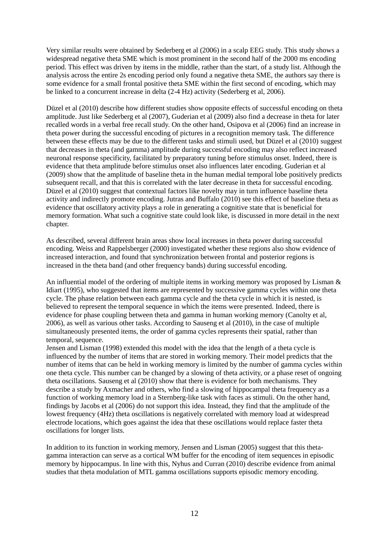Very similar results were obtained by Sederberg et al (2006) in a scalp EEG study. This study shows a widespread negative theta SME which is most prominent in the second half of the 2000 ms encoding period. This effect was driven by items in the middle, rather than the start, of a study list. Although the analysis across the entire 2s encoding period only found a negative theta SME, the authors say there is some evidence for a small frontal positive theta SME within the first second of encoding, which may be linked to a concurrent increase in delta (2-4 Hz) activity (Sederberg et al, 2006).

Düzel et al (2010) describe how different studies show opposite effects of successful encoding on theta amplitude. Just like Sederberg et al (2007), Guderian et al (2009) also find a decrease in theta for later recalled words in a verbal free recall study. On the other hand, Osipova et al (2006) find an increase in theta power during the successful encoding of pictures in a recognition memory task. The difference between these effects may be due to the different tasks and stimuli used, but Düzel et al (2010) suggest that decreases in theta (and gamma) amplitude during successful encoding may also reflect increased neuronal response specificity, facilitated by preparatory tuning before stimulus onset. Indeed, there is evidence that theta amplitude before stimulus onset also influences later encoding. Guderian et al (2009) show that the amplitude of baseline theta in the human medial temporal lobe positively predicts subsequent recall, and that this is correlated with the later decrease in theta for successful encoding. Düzel et al (2010) suggest that contextual factors like novelty may in turn influence baseline theta activity and indirectly promote encoding. Jutras and Buffalo (2010) see this effect of baseline theta as evidence that oscillatory activity plays a role in generating a cognitive state that is beneficial for memory formation. What such a cognitive state could look like, is discussed in more detail in the next chapter.

As described, several different brain areas show local increases in theta power during successful encoding. Weiss and Rappelsberger (2000) investigated whether these regions also show evidence of increased interaction, and found that synchronization between frontal and posterior regions is increased in the theta band (and other frequency bands) during successful encoding.

An influential model of the ordering of multiple items in working memory was proposed by Lisman & Idiart (1995), who suggested that items are represented by successive gamma cycles within one theta cycle. The phase relation between each gamma cycle and the theta cycle in which it is nested, is believed to represent the temporal sequence in which the items were presented. Indeed, there is evidence for phase coupling between theta and gamma in human working memory (Canolty et al, 2006), as well as various other tasks. According to Sauseng et al (2010), in the case of multiple simultaneously presented items, the order of gamma cycles represents their spatial, rather than temporal, sequence.

Jensen and Lisman (1998) extended this model with the idea that the length of a theta cycle is influenced by the number of items that are stored in working memory. Their model predicts that the number of items that can be held in working memory is limited by the number of gamma cycles within one theta cycle. This number can be changed by a slowing of theta activity, or a phase reset of ongoing theta oscillations. Sauseng et al (2010) show that there is evidence for both mechanisms. They describe a study by Axmacher and others, who find a slowing of hippocampal theta frequency as a function of working memory load in a Sternberg-like task with faces as stimuli. On the other hand, findings by Jacobs et al (2006) do not support this idea. Instead, they find that the amplitude of the lowest frequency (4Hz) theta oscillations is negatively correlated with memory load at widespread electrode locations, which goes against the idea that these oscillations would replace faster theta oscillations for longer lists.

In addition to its function in working memory, Jensen and Lisman (2005) suggest that this thetagamma interaction can serve as a cortical WM buffer for the encoding of item sequences in episodic memory by hippocampus. In line with this, Nyhus and Curran (2010) describe evidence from animal studies that theta modulation of MTL gamma oscillations supports episodic memory encoding.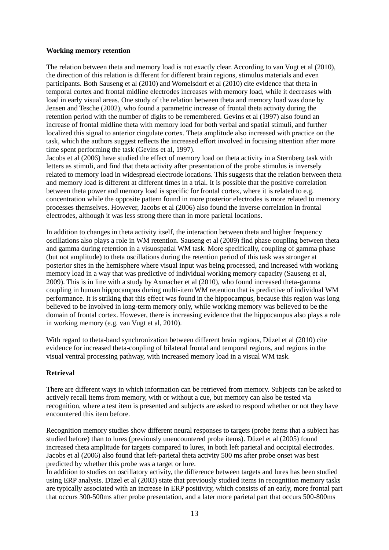#### **Working memory retention**

The relation between theta and memory load is not exactly clear. According to van Vugt et al (2010), the direction of this relation is different for different brain regions, stimulus materials and even participants. Both Sauseng et al (2010) and Womelsdorf et al (2010) cite evidence that theta in temporal cortex and frontal midline electrodes increases with memory load, while it decreases with load in early visual areas. One study of the relation between theta and memory load was done by Jensen and Tesche (2002), who found a parametric increase of frontal theta activity during the retention period with the number of digits to be remembered. Gevins et al (1997) also found an increase of frontal midline theta with memory load for both verbal and spatial stimuli, and further localized this signal to anterior cingulate cortex. Theta amplitude also increased with practice on the task, which the authors suggest reflects the increased effort involved in focusing attention after more time spent performing the task (Gevins et al, 1997).

Jacobs et al (2006) have studied the effect of memory load on theta activity in a Sternberg task with letters as stimuli, and find that theta activity after presentation of the probe stimulus is inversely related to memory load in widespread electrode locations. This suggests that the relation between theta and memory load is different at different times in a trial. It is possible that the positive correlation between theta power and memory load is specific for frontal cortex, where it is related to e.g. concentration while the opposite pattern found in more posterior electrodes is more related to memory processes themselves. However, Jacobs et al (2006) also found the inverse correlation in frontal electrodes, although it was less strong there than in more parietal locations.

In addition to changes in theta activity itself, the interaction between theta and higher frequency oscillations also plays a role in WM retention. Sauseng et al (2009) find phase coupling between theta and gamma during retention in a visuospatial WM task. More specifically, coupling of gamma phase (but not amplitude) to theta oscillations during the retention period of this task was stronger at posterior sites in the hemisphere where visual input was being processed, and increased with working memory load in a way that was predictive of individual working memory capacity (Sauseng et al, 2009). This is in line with a study by Axmacher et al (2010), who found increased theta-gamma coupling in human hippocampus during multi-item WM retention that is predictive of individual WM performance. It is striking that this effect was found in the hippocampus, because this region was long believed to be involved in long-term memory only, while working memory was believed to be the domain of frontal cortex. However, there is increasing evidence that the hippocampus also plays a role in working memory (e.g. van Vugt et al, 2010).

With regard to theta-band synchronization between different brain regions, Düzel et al (2010) cite evidence for increased theta-coupling of bilateral frontal and temporal regions, and regions in the visual ventral processing pathway, with increased memory load in a visual WM task.

## **Retrieval**

There are different ways in which information can be retrieved from memory. Subjects can be asked to actively recall items from memory, with or without a cue, but memory can also be tested via recognition, where a test item is presented and subjects are asked to respond whether or not they have encountered this item before.

Recognition memory studies show different neural responses to targets (probe items that a subject has studied before) than to lures (previously unencountered probe items). Düzel et al (2005) found increased theta amplitude for targets compared to lures, in both left parietal and occipital electrodes. Jacobs et al (2006) also found that left-parietal theta activity 500 ms after probe onset was best predicted by whether this probe was a target or lure.

In addition to studies on oscillatory activity, the difference between targets and lures has been studied using ERP analysis. Düzel et al (2003) state that previously studied items in recognition memory tasks are typically associated with an increase in ERP positivity, which consists of an early, more frontal part that occurs 300-500ms after probe presentation, and a later more parietal part that occurs 500-800ms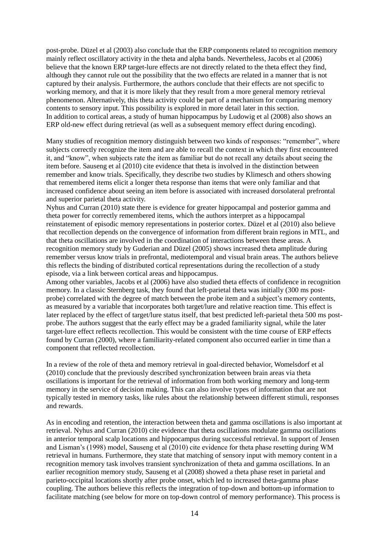post-probe. Düzel et al (2003) also conclude that the ERP components related to recognition memory mainly reflect oscillatory activity in the theta and alpha bands. Nevertheless, Jacobs et al (2006) believe that the known ERP target-lure effects are not directly related to the theta effect they find, although they cannot rule out the possibility that the two effects are related in a manner that is not captured by their analysis. Furthermore, the authors conclude that their effects are not specific to working memory, and that it is more likely that they result from a more general memory retrieval phenomenon. Alternatively, this theta activity could be part of a mechanism for comparing memory contents to sensory input. This possibility is explored in more detail later in this section. In addition to cortical areas, a study of human hippocampus by Ludowig et al (2008) also shows an ERP old-new effect during retrieval (as well as a subsequent memory effect during encoding).

Many studies of recognition memory distinguish between two kinds of responses: "remember", where subjects correctly recognize the item and are able to recall the context in which they first encountered it, and "know", when subjects rate the item as familiar but do not recall any details about seeing the item before. Sauseng et al (2010) cite evidence that theta is involved in the distinction between remember and know trials. Specifically, they describe two studies by Klimesch and others showing that remembered items elicit a longer theta response than items that were only familiar and that increased confidence about seeing an item before is associated with increased dorsolateral prefrontal and superior parietal theta activity.

Nyhus and Curran (2010) state there is evidence for greater hippocampal and posterior gamma and theta power for correctly remembered items, which the authors interpret as a hippocampal reinstatement of episodic memory representations in posterior cortex. Düzel et al (2010) also believe that recollection depends on the convergence of information from different brain regions in MTL, and that theta oscillations are involved in the coordination of interactions between these areas. A recognition memory study by Guderian and Düzel (2005) shows increased theta amplitude during remember versus know trials in prefrontal, mediotemporal and visual brain areas. The authors believe this reflects the binding of distributed cortical representations during the recollection of a study episode, via a link between cortical areas and hippocampus.

Among other variables, Jacobs et al (2006) have also studied theta effects of confidence in recognition memory. In a classic Sternberg task, they found that left-parietal theta was initially (300 ms postprobe) correlated with the degree of match between the probe item and a subject's memory contents, as measured by a variable that incorporates both target/lure and relative reaction time. This effect is later replaced by the effect of target/lure status itself, that best predicted left-parietal theta 500 ms postprobe. The authors suggest that the early effect may be a graded familiarity signal, while the later target-lure effect reflects recollection. This would be consistent with the time course of ERP effects found by Curran (2000), where a familiarity-related component also occurred earlier in time than a component that reflected recollection.

In a review of the role of theta and memory retrieval in goal-directed behavior, Womelsdorf et al (2010) conclude that the previously described synchronization between brain areas via theta oscillations is important for the retrieval of information from both working memory and long-term memory in the service of decision making. This can also involve types of information that are not typically tested in memory tasks, like rules about the relationship between different stimuli, responses and rewards.

As in encoding and retention, the interaction between theta and gamma oscillations is also important at retrieval. Nyhus and Curran (2010) cite evidence that theta oscillations modulate gamma oscillations in anterior temporal scalp locations and hippocampus during successful retrieval. In support of Jensen and Lisman's (1998) model, Sauseng et al (2010) cite evidence for theta phase resetting during WM retrieval in humans. Furthermore, they state that matching of sensory input with memory content in a recognition memory task involves transient synchronization of theta and gamma oscillations. In an earlier recognition memory study, Sauseng et al (2008) showed a theta phase reset in parietal and parieto-occipital locations shortly after probe onset, which led to increased theta-gamma phase coupling. The authors believe this reflects the integration of top-down and bottom-up information to facilitate matching (see below for more on top-down control of memory performance). This process is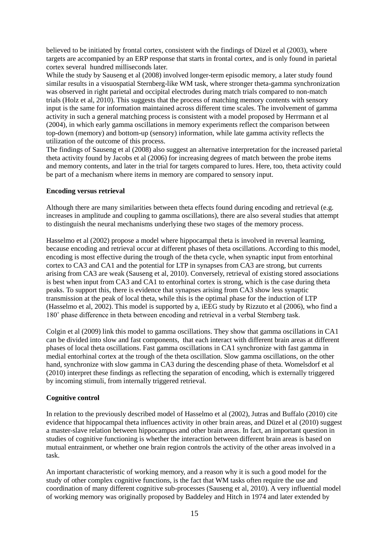believed to be initiated by frontal cortex, consistent with the findings of Düzel et al (2003), where targets are accompanied by an ERP response that starts in frontal cortex, and is only found in parietal cortex several hundred milliseconds later.

While the study by Sauseng et al (2008) involved longer-term episodic memory, a later study found similar results in a visuospatial Sternberg-like WM task, where stronger theta-gamma synchronization was observed in right parietal and occipital electrodes during match trials compared to non-match trials (Holz et al, 2010). This suggests that the process of matching memory contents with sensory input is the same for information maintained across different time scales. The involvement of gamma activity in such a general matching process is consistent with a model proposed by Herrmann et al (2004), in which early gamma oscillations in memory experiments reflect the comparison between top-down (memory) and bottom-up (sensory) information, while late gamma activity reflects the utilization of the outcome of this process.

The findings of Sauseng et al (2008) also suggest an alternative interpretation for the increased parietal theta activity found by Jacobs et al (2006) for increasing degrees of match between the probe items and memory contents, and later in the trial for targets compared to lures. Here, too, theta activity could be part of a mechanism where items in memory are compared to sensory input.

## **Encoding versus retrieval**

Although there are many similarities between theta effects found during encoding and retrieval (e.g. increases in amplitude and coupling to gamma oscillations), there are also several studies that attempt to distinguish the neural mechanisms underlying these two stages of the memory process.

Hasselmo et al (2002) propose a model where hippocampal theta is involved in reversal learning, because encoding and retrieval occur at different phases of theta oscillations. According to this model, encoding is most effective during the trough of the theta cycle, when synaptic input from entorhinal cortex to CA3 and CA1 and the potential for LTP in synapses from CA3 are strong, but currents arising from CA3 are weak (Sauseng et al, 2010). Conversely, retrieval of existing stored associations is best when input from CA3 and CA1 to entorhinal cortex is strong, which is the case during theta peaks. To support this, there is evidence that synapses arising from CA3 show less synaptic transmission at the peak of local theta, while this is the optimal phase for the induction of LTP (Hasselmo et al, 2002). This model is supported by a, iEEG study by Rizzuto et al (2006), who find a 180˚ phase difference in theta between encoding and retrieval in a verbal Sternberg task.

Colgin et al (2009) link this model to gamma oscillations. They show that gamma oscillations in CA1 can be divided into slow and fast components, that each interact with different brain areas at different phases of local theta oscillations. Fast gamma oscillations in CA1 synchronize with fast gamma in medial entorhinal cortex at the trough of the theta oscillation. Slow gamma oscillations, on the other hand, synchronize with slow gamma in CA3 during the descending phase of theta. Womelsdorf et al (2010) interpret these findings as reflecting the separation of encoding, which is externally triggered by incoming stimuli, from internally triggered retrieval.

## **Cognitive control**

In relation to the previously described model of Hasselmo et al (2002), Jutras and Buffalo (2010) cite evidence that hippocampal theta influences activity in other brain areas, and Düzel et al (2010) suggest a master-slave relation between hippocampus and other brain areas. In fact, an important question in studies of cognitive functioning is whether the interaction between different brain areas is based on mutual entrainment, or whether one brain region controls the activity of the other areas involved in a task.

An important characteristic of working memory, and a reason why it is such a good model for the study of other complex cognitive functions, is the fact that WM tasks often require the use and coordination of many different cognitive sub-processes (Sauseng et al, 2010). A very influential model of working memory was originally proposed by Baddeley and Hitch in 1974 and later extended by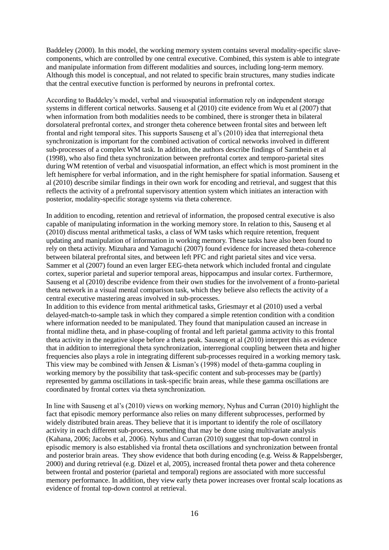Baddeley (2000). In this model, the working memory system contains several modality-specific slavecomponents, which are controlled by one central executive. Combined, this system is able to integrate and manipulate information from different modalities and sources, including long-term memory. Although this model is conceptual, and not related to specific brain structures, many studies indicate that the central executive function is performed by neurons in prefrontal cortex.

According to Baddeley's model, verbal and visuospatial information rely on independent storage systems in different cortical networks. Sauseng et al (2010) cite evidence from Wu et al (2007) that when information from both modalities needs to be combined, there is stronger theta in bilateral dorsolateral prefrontal cortex, and stronger theta coherence between frontal sites and between left frontal and right temporal sites. This supports Sauseng et al's (2010) idea that interregional theta synchronization is important for the combined activation of cortical networks involved in different sub-processes of a complex WM task. In addition, the authors describe findings of Sarnthein et al (1998), who also find theta synchronization between prefrontal cortex and temporo-parietal sites during WM retention of verbal and visuospatial information, an effect which is most prominent in the left hemisphere for verbal information, and in the right hemisphere for spatial information. Sauseng et al (2010) describe similar findings in their own work for encoding and retrieval, and suggest that this reflects the activity of a prefrontal supervisory attention system which initiates an interaction with posterior, modality-specific storage systems via theta coherence.

In addition to encoding, retention and retrieval of information, the proposed central executive is also capable of manipulating information in the working memory store. In relation to this, Sauseng et al (2010) discuss mental arithmetical tasks, a class of WM tasks which require retention, frequent updating and manipulation of information in working memory. These tasks have also been found to rely on theta activity. Mizuhara and Yamaguchi (2007) found evidence for increased theta-coherence between bilateral prefrontal sites, and between left PFC and right parietal sites and vice versa. Sammer et al (2007) found an even larger EEG-theta network which included frontal and cingulate cortex, superior parietal and superior temporal areas, hippocampus and insular cortex. Furthermore, Sauseng et al (2010) describe evidence from their own studies for the involvement of a fronto-parietal theta network in a visual mental comparison task, which they believe also reflects the activity of a central executive mastering areas involved in sub-processes.

In addition to this evidence from mental arithmetical tasks, Griesmayr et al (2010) used a verbal delayed-match-to-sample task in which they compared a simple retention condition with a condition where information needed to be manipulated. They found that manipulation caused an increase in frontal midline theta, and in phase-coupling of frontal and left parietal gamma activity to this frontal theta activity in the negative slope before a theta peak. Sauseng et al (2010) interpret this as evidence that in addition to interregional theta synchronization, interregional coupling between theta and higher frequencies also plays a role in integrating different sub-processes required in a working memory task. This view may be combined with Jensen & Lisman's (1998) model of theta-gamma coupling in working memory by the possibility that task-specific content and sub-processes may be (partly) represented by gamma oscillations in task-specific brain areas, while these gamma oscillations are coordinated by frontal cortex via theta synchronization.

In line with Sauseng et al's (2010) views on working memory, Nyhus and Curran (2010) highlight the fact that episodic memory performance also relies on many different subprocesses, performed by widely distributed brain areas. They believe that it is important to identify the role of oscillatory activity in each different sub-process, something that may be done using multivariate analysis (Kahana, 2006; Jacobs et al, 2006). Nyhus and Curran (2010) suggest that top-down control in episodic memory is also established via frontal theta oscillations and synchronization between frontal and posterior brain areas. They show evidence that both during encoding (e.g. Weiss & Rappelsberger, 2000) and during retrieval (e.g. Düzel et al, 2005), increased frontal theta power and theta coherence between frontal and posterior (parietal and temporal) regions are associated with more successful memory performance. In addition, they view early theta power increases over frontal scalp locations as evidence of frontal top-down control at retrieval.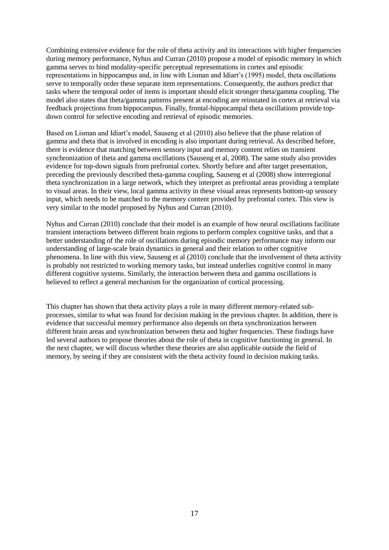Combining extensive evidence for the role of theta activity and its interactions with higher frequencies during memory performance, Nyhus and Curran (2010) propose a model of episodic memory in which gamma serves to bind modality-specific perceptual representations in cortex and episodic representations in hippocampus and, in line with Lisman and Idiart's (1995) model, theta oscillations serve to temporally order these separate item representations. Consequently, the authors predict that tasks where the temporal order of items is important should elicit stronger theta/gamma coupling. The model also states that theta/gamma patterns present at encoding are reinstated in cortex at retrieval via feedback projections from hippocampus. Finally, frontal-hippocampal theta oscillations provide topdown control for selective encoding and retrieval of episodic memories.

Based on Lisman and Idiart's model, Sauseng et al (2010) also believe that the phase relation of gamma and theta that is involved in encoding is also important during retrieval. As described before, there is evidence that matching between sensory input and memory content relies on transient synchronization of theta and gamma oscillations (Sauseng et al, 2008). The same study also provides evidence for top-down signals from prefrontal cortex. Shortly before and after target presentation, preceding the previously described theta-gamma coupling, Sauseng et al (2008) show interregional theta synchronization in a large network, which they interpret as prefrontal areas providing a template to visual areas. In their view, local gamma activity in these visual areas represents bottom-up sensory input, which needs to be matched to the memory content provided by prefrontal cortex. This view is very similar to the model proposed by Nyhus and Curran (2010).

Nyhus and Curran (2010) conclude that their model is an example of how neural oscillations facilitate transient interactions between different brain regions to perform complex cognitive tasks, and that a better understanding of the role of oscillations during episodic memory performance may inform our understanding of large-scale brain dynamics in general and their relation to other cognitive phenomena. In line with this view, Sauseng et al (2010) conclude that the involvement of theta activity is probably not restricted to working memory tasks, but instead underlies cognitive control in many different cognitive systems. Similarly, the interaction between theta and gamma oscillations is believed to reflect a general mechanism for the organization of cortical processing.

This chapter has shown that theta activity plays a role in many different memory-related subprocesses, similar to what was found for decision making in the previous chapter. In addition, there is evidence that successful memory performance also depends on theta synchronization between different brain areas and synchronization between theta and higher frequencies. These findings have led several authors to propose theories about the role of theta in cognitive functioning in general. In the next chapter, we will discuss whether these theories are also applicable outside the field of memory, by seeing if they are consistent with the theta activity found in decision making tasks.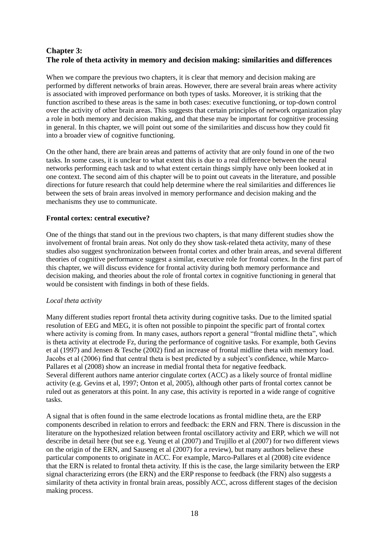# **Chapter 3: The role of theta activity in memory and decision making: similarities and differences**

When we compare the previous two chapters, it is clear that memory and decision making are performed by different networks of brain areas. However, there are several brain areas where activity is associated with improved performance on both types of tasks. Moreover, it is striking that the function ascribed to these areas is the same in both cases: executive functioning, or top-down control over the activity of other brain areas. This suggests that certain principles of network organization play a role in both memory and decision making, and that these may be important for cognitive processing in general. In this chapter, we will point out some of the similarities and discuss how they could fit into a broader view of cognitive functioning.

On the other hand, there are brain areas and patterns of activity that are only found in one of the two tasks. In some cases, it is unclear to what extent this is due to a real difference between the neural networks performing each task and to what extent certain things simply have only been looked at in one context. The second aim of this chapter will be to point out caveats in the literature, and possible directions for future research that could help determine where the real similarities and differences lie between the sets of brain areas involved in memory performance and decision making and the mechanisms they use to communicate.

# **Frontal cortex: central executive?**

One of the things that stand out in the previous two chapters, is that many different studies show the involvement of frontal brain areas. Not only do they show task-related theta activity, many of these studies also suggest synchronization between frontal cortex and other brain areas, and several different theories of cognitive performance suggest a similar, executive role for frontal cortex. In the first part of this chapter, we will discuss evidence for frontal activity during both memory performance and decision making, and theories about the role of frontal cortex in cognitive functioning in general that would be consistent with findings in both of these fields.

## *Local theta activity*

Many different studies report frontal theta activity during cognitive tasks. Due to the limited spatial resolution of EEG and MEG, it is often not possible to pinpoint the specific part of frontal cortex where activity is coming from. In many cases, authors report a general "frontal midline theta", which is theta activity at electrode Fz, during the performance of cognitive tasks. For example, both Gevins et al (1997) and Jensen & Tesche (2002) find an increase of frontal midline theta with memory load. Jacobs et al (2006) find that central theta is best predicted by a subject's confidence, while Marco-Pallares et al (2008) show an increase in medial frontal theta for negative feedback. Several different authors name anterior cingulate cortex (ACC) as a likely source of frontal midline activity (e.g. Gevins et al, 1997; Onton et al, 2005), although other parts of frontal cortex cannot be ruled out as generators at this point. In any case, this activity is reported in a wide range of cognitive tasks.

A signal that is often found in the same electrode locations as frontal midline theta, are the ERP components described in relation to errors and feedback: the ERN and FRN. There is discussion in the literature on the hypothesized relation between frontal oscillatory activity and ERP, which we will not describe in detail here (but see e.g. Yeung et al (2007) and Trujillo et al (2007) for two different views on the origin of the ERN, and Sauseng et al (2007) for a review), but many authors believe these particular components to originate in ACC. For example, Marco-Pallares et al (2008) cite evidence that the ERN is related to frontal theta activity. If this is the case, the large similarity between the ERP signal characterizing errors (the ERN) and the ERP response to feedback (the FRN) also suggests a similarity of theta activity in frontal brain areas, possibly ACC, across different stages of the decision making process.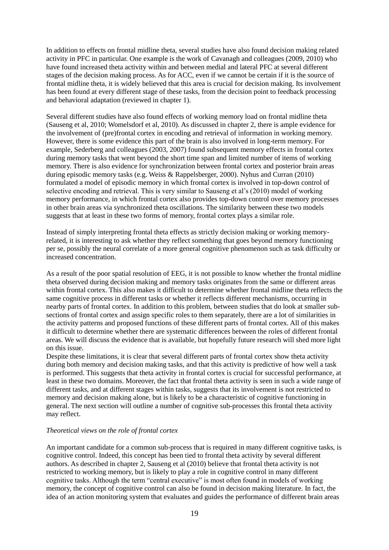In addition to effects on frontal midline theta, several studies have also found decision making related activity in PFC in particular. One example is the work of Cavanagh and colleagues (2009, 2010) who have found increased theta activity within and between medial and lateral PFC at several different stages of the decision making process. As for ACC, even if we cannot be certain if it is the source of frontal midline theta, it is widely believed that this area is crucial for decision making. Its involvement has been found at every different stage of these tasks, from the decision point to feedback processing and behavioral adaptation (reviewed in chapter 1).

Several different studies have also found effects of working memory load on frontal midline theta (Sauseng et al, 2010; Womelsdorf et al, 2010). As discussed in chapter 2, there is ample evidence for the involvement of (pre)frontal cortex in encoding and retrieval of information in working memory. However, there is some evidence this part of the brain is also involved in long-term memory. For example, Sederberg and colleagues (2003, 2007) found subsequent memory effects in frontal cortex during memory tasks that went beyond the short time span and limited number of items of working memory. There is also evidence for synchronization between frontal cortex and posterior brain areas during episodic memory tasks (e.g. Weiss & Rappelsberger, 2000). Nyhus and Curran (2010) formulated a model of episodic memory in which frontal cortex is involved in top-down control of selective encoding and retrieval. This is very similar to Sauseng et al's (2010) model of working memory performance, in which frontal cortex also provides top-down control over memory processes in other brain areas via synchronized theta oscillations. The similarity between these two models suggests that at least in these two forms of memory, frontal cortex plays a similar role.

Instead of simply interpreting frontal theta effects as strictly decision making or working memoryrelated, it is interesting to ask whether they reflect something that goes beyond memory functioning per se, possibly the neural correlate of a more general cognitive phenomenon such as task difficulty or increased concentration.

As a result of the poor spatial resolution of EEG, it is not possible to know whether the frontal midline theta observed during decision making and memory tasks originates from the same or different areas within frontal cortex. This also makes it difficult to determine whether frontal midline theta reflects the same cognitive process in different tasks or whether it reflects different mechanisms, occurring in nearby parts of frontal cortex. In addition to this problem, between studies that do look at smaller subsections of frontal cortex and assign specific roles to them separately, there are a lot of similarities in the activity patterns and proposed functions of these different parts of frontal cortex. All of this makes it difficult to determine whether there are systematic differences between the roles of different frontal areas. We will discuss the evidence that is available, but hopefully future research will shed more light on this issue.

Despite these limitations, it is clear that several different parts of frontal cortex show theta activity during both memory and decision making tasks, and that this activity is predictive of how well a task is performed. This suggests that theta activity in frontal cortex is crucial for successful performance, at least in these two domains. Moreover, the fact that frontal theta activity is seen in such a wide range of different tasks, and at different stages within tasks, suggests that its involvement is not restricted to memory and decision making alone, but is likely to be a characteristic of cognitive functioning in general. The next section will outline a number of cognitive sub-processes this frontal theta activity may reflect.

## *Theoretical views on the role of frontal cortex*

An important candidate for a common sub-process that is required in many different cognitive tasks, is cognitive control. Indeed, this concept has been tied to frontal theta activity by several different authors. As described in chapter 2, Sauseng et al (2010) believe that frontal theta activity is not restricted to working memory, but is likely to play a role in cognitive control in many different cognitive tasks. Although the term "central executive" is most often found in models of working memory, the concept of cognitive control can also be found in decision making literature. In fact, the idea of an action monitoring system that evaluates and guides the performance of different brain areas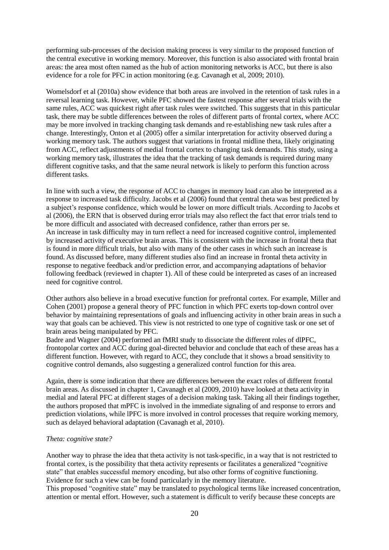performing sub-processes of the decision making process is very similar to the proposed function of the central executive in working memory. Moreover, this function is also associated with frontal brain areas: the area most often named as the hub of action monitoring networks is ACC, but there is also evidence for a role for PFC in action monitoring (e.g. Cavanagh et al, 2009; 2010).

Womelsdorf et al (2010a) show evidence that both areas are involved in the retention of task rules in a reversal learning task. However, while PFC showed the fastest response after several trials with the same rules, ACC was quickest right after task rules were switched. This suggests that in this particular task, there may be subtle differences between the roles of different parts of frontal cortex, where ACC may be more involved in tracking changing task demands and re-establishing new task rules after a change. Interestingly, Onton et al (2005) offer a similar interpretation for activity observed during a working memory task. The authors suggest that variations in frontal midline theta, likely originating from ACC, reflect adjustments of medial frontal cortex to changing task demands. This study, using a working memory task, illustrates the idea that the tracking of task demands is required during many different cognitive tasks, and that the same neural network is likely to perform this function across different tasks.

In line with such a view, the response of ACC to changes in memory load can also be interpreted as a response to increased task difficulty. Jacobs et al (2006) found that central theta was best predicted by a subject's response confidence, which would be lower on more difficult trials. According to Jacobs et al (2006), the ERN that is observed during error trials may also reflect the fact that error trials tend to be more difficult and associated with decreased confidence, rather than errors per se.

An increase in task difficulty may in turn reflect a need for increased cognitive control, implemented by increased activity of executive brain areas. This is consistent with the increase in frontal theta that is found in more difficult trials, but also with many of the other cases in which such an increase is found. As discussed before, many different studies also find an increase in frontal theta activity in response to negative feedback and/or prediction error, and accompanying adaptations of behavior following feedback (reviewed in chapter 1). All of these could be interpreted as cases of an increased need for cognitive control.

Other authors also believe in a broad executive function for prefrontal cortex. For example, Miller and Cohen (2001) propose a general theory of PFC function in which PFC exerts top-down control over behavior by maintaining representations of goals and influencing activity in other brain areas in such a way that goals can be achieved. This view is not restricted to one type of cognitive task or one set of brain areas being manipulated by PFC.

Badre and Wagner (2004) performed an fMRI study to dissociate the different roles of dlPFC, frontopolar cortex and ACC during goal-directed behavior and conclude that each of these areas has a different function. However, with regard to ACC, they conclude that it shows a broad sensitivity to cognitive control demands, also suggesting a generalized control function for this area.

Again, there is some indication that there are differences between the exact roles of different frontal brain areas. As discussed in chapter 1, Cavanagh et al (2009, 2010) have looked at theta activity in medial and lateral PFC at different stages of a decision making task. Taking all their findings together, the authors proposed that mPFC is involved in the immediate signaling of and response to errors and prediction violations, while lPFC is more involved in control processes that require working memory, such as delayed behavioral adaptation (Cavanagh et al, 2010).

## *Theta: cognitive state?*

Another way to phrase the idea that theta activity is not task-specific, in a way that is not restricted to frontal cortex, is the possibility that theta activity represents or facilitates a generalized "cognitive state" that enables successful memory encoding, but also other forms of cognitive functioning. Evidence for such a view can be found particularly in the memory literature. This proposed "cognitive state" may be translated to psychological terms like increased concentration, attention or mental effort. However, such a statement is difficult to verify because these concepts are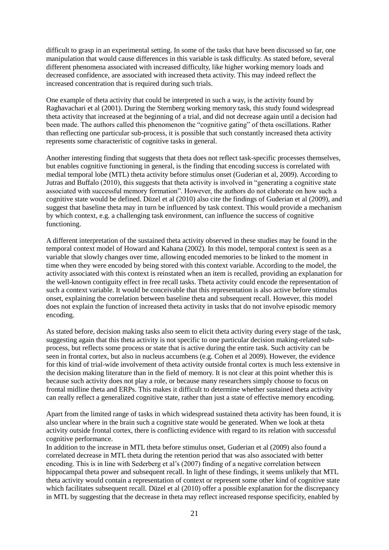difficult to grasp in an experimental setting. In some of the tasks that have been discussed so far, one manipulation that would cause differences in this variable is task difficulty. As stated before, several different phenomena associated with increased difficulty, like higher working memory loads and decreased confidence, are associated with increased theta activity. This may indeed reflect the increased concentration that is required during such trials.

One example of theta activity that could be interpreted in such a way, is the activity found by Raghavachari et al (2001). During the Sternberg working memory task, this study found widespread theta activity that increased at the beginning of a trial, and did not decrease again until a decision had been made. The authors called this phenomenon the "cognitive gating" of theta oscillations. Rather than reflecting one particular sub-process, it is possible that such constantly increased theta activity represents some characteristic of cognitive tasks in general.

Another interesting finding that suggests that theta does not reflect task-specific processes themselves, but enables cognitive functioning in general, is the finding that encoding success is correlated with medial temporal lobe (MTL) theta activity before stimulus onset (Guderian et al, 2009). According to Jutras and Buffalo (2010), this suggests that theta activity is involved in "generating a cognitive state associated with successful memory formation". However, the authors do not elaborate on how such a cognitive state would be defined. Düzel et al (2010) also cite the findings of Guderian et al (2009), and suggest that baseline theta may in turn be influenced by task context. This would provide a mechanism by which context, e.g. a challenging task environment, can influence the success of cognitive functioning.

A different interpretation of the sustained theta activity observed in these studies may be found in the temporal context model of Howard and Kahana (2002). In this model, temporal context is seen as a variable that slowly changes over time, allowing encoded memories to be linked to the moment in time when they were encoded by being stored with this context variable. According to the model, the activity associated with this context is reinstated when an item is recalled, providing an explanation for the well-known contiguity effect in free recall tasks. Theta activity could encode the representation of such a context variable. It would be conceivable that this representation is also active before stimulus onset, explaining the correlation between baseline theta and subsequent recall. However, this model does not explain the function of increased theta activity in tasks that do not involve episodic memory encoding.

As stated before, decision making tasks also seem to elicit theta activity during every stage of the task, suggesting again that this theta activity is not specific to one particular decision making-related subprocess, but reflects some process or state that is active during the entire task. Such activity can be seen in frontal cortex, but also in nucleus accumbens (e.g. Cohen et al 2009). However, the evidence for this kind of trial-wide involvement of theta activity outside frontal cortex is much less extensive in the decision making literature than in the field of memory. It is not clear at this point whether this is because such activity does not play a role, or because many researchers simply choose to focus on frontal midline theta and ERPs. This makes it difficult to determine whether sustained theta activity can really reflect a generalized cognitive state, rather than just a state of effective memory encoding.

Apart from the limited range of tasks in which widespread sustained theta activity has been found, it is also unclear where in the brain such a cognitive state would be generated. When we look at theta activity outside frontal cortex, there is conflicting evidence with regard to its relation with successful cognitive performance.

In addition to the increase in MTL theta before stimulus onset, Guderian et al (2009) also found a correlated decrease in MTL theta during the retention period that was also associated with better encoding. This is in line with Sederberg et al's (2007) finding of a negative correlation between hippocampal theta power and subsequent recall. In light of these findings, it seems unlikely that MTL theta activity would contain a representation of context or represent some other kind of cognitive state which facilitates subsequent recall. Düzel et al (2010) offer a possible explanation for the discrepancy in MTL by suggesting that the decrease in theta may reflect increased response specificity, enabled by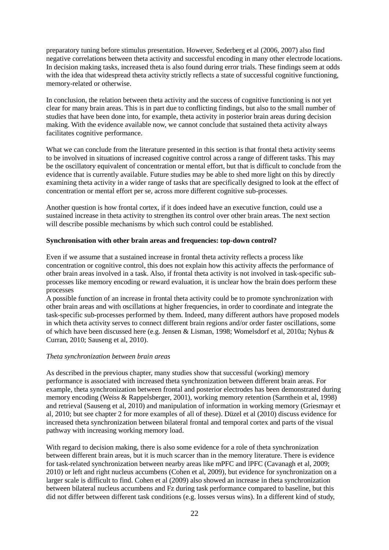preparatory tuning before stimulus presentation. However, Sederberg et al (2006, 2007) also find negative correlations between theta activity and successful encoding in many other electrode locations. In decision making tasks, increased theta is also found during error trials. These findings seem at odds with the idea that widespread theta activity strictly reflects a state of successful cognitive functioning, memory-related or otherwise.

In conclusion, the relation between theta activity and the success of cognitive functioning is not yet clear for many brain areas. This is in part due to conflicting findings, but also to the small number of studies that have been done into, for example, theta activity in posterior brain areas during decision making. With the evidence available now, we cannot conclude that sustained theta activity always facilitates cognitive performance.

What we can conclude from the literature presented in this section is that frontal theta activity seems to be involved in situations of increased cognitive control across a range of different tasks. This may be the oscillatory equivalent of concentration or mental effort, but that is difficult to conclude from the evidence that is currently available. Future studies may be able to shed more light on this by directly examining theta activity in a wider range of tasks that are specifically designed to look at the effect of concentration or mental effort per se, across more different cognitive sub-processes.

Another question is how frontal cortex, if it does indeed have an executive function, could use a sustained increase in theta activity to strengthen its control over other brain areas. The next section will describe possible mechanisms by which such control could be established.

## **Synchronisation with other brain areas and frequencies: top-down control?**

Even if we assume that a sustained increase in frontal theta activity reflects a process like concentration or cognitive control, this does not explain how this activity affects the performance of other brain areas involved in a task. Also, if frontal theta activity is not involved in task-specific subprocesses like memory encoding or reward evaluation, it is unclear how the brain does perform these processes

A possible function of an increase in frontal theta activity could be to promote synchronization with other brain areas and with oscillations at higher frequencies, in order to coordinate and integrate the task-specific sub-processes performed by them. Indeed, many different authors have proposed models in which theta activity serves to connect different brain regions and/or order faster oscillations, some of which have been discussed here (e.g. Jensen & Lisman, 1998; Womelsdorf et al, 2010a; Nyhus & Curran, 2010; Sauseng et al, 2010).

## *Theta synchronization between brain areas*

As described in the previous chapter, many studies show that successful (working) memory performance is associated with increased theta synchronization between different brain areas. For example, theta synchronization between frontal and posterior electrodes has been demonstrated during memory encoding (Weiss & Rappelsberger, 2001), working memory retention (Sarnthein et al, 1998) and retrieval (Sauseng et al, 2010) and manipulation of information in working memory (Griesmayr et al, 2010; but see chapter 2 for more examples of all of these). Düzel et al (2010) discuss evidence for increased theta synchronization between bilateral frontal and temporal cortex and parts of the visual pathway with increasing working memory load.

With regard to decision making, there is also some evidence for a role of theta synchronization between different brain areas, but it is much scarcer than in the memory literature. There is evidence for task-related synchronization between nearby areas like mPFC and lPFC (Cavanagh et al, 2009; 2010) or left and right nucleus accumbens (Cohen et al, 2009), but evidence for synchronization on a larger scale is difficult to find. Cohen et al (2009) also showed an increase in theta synchronization between bilateral nucleus accumbens and Fz during task performance compared to baseline, but this did not differ between different task conditions (e.g. losses versus wins). In a different kind of study,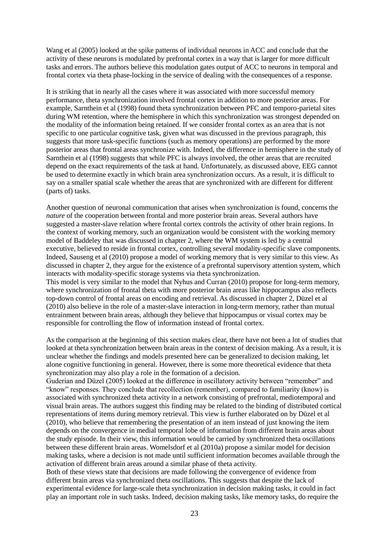Wang et al (2005) looked at the spike patterns of individual neurons in ACC and conclude that the activity of these neurons is modulated by prefrontal cortex in a way that is larger for more difficult tasks and errors. The authors believe this modulation gates output of ACC to neurons in temporal and frontal cortex via theta phase-locking in the service of dealing with the consequences of a response.

It is striking that in nearly all the cases where it was associated with more successful memory performance, theta synchronization involved frontal cortex in addition to more posterior areas. For example, Sarnthein et al (1998) found theta synchronization between PFC and temporo-parietal sites during WM retention, where the hemisphere in which this synchronization was strongest depended on the modality of the information being retained. If we consider frontal cortex as an area that is not specific to one particular cognitive task, given what was discussed in the previous paragraph, this suggests that more task-specific functions (such as memory operations) are performed by the more posterior areas that frontal areas synchronize with. Indeed, the difference in hemisphere in the study of Sarnthein et al (1998) suggests that while PFC is always involved, the other areas that are recruited depend on the exact requirements of the task at hand. Unfortunately, as discussed above, EEG cannot be used to determine exactly in which brain area synchronization occurs. As a result, it is difficult to say on a smaller spatial scale whether the areas that are synchronized with are different for different (parts of) tasks.

Another question of neuronal communication that arises when synchronization is found, concerns the *nature* of the cooperation between frontal and more posterior brain areas. Several authors have suggested a master-slave relation where frontal cortex controls the activity of other brain regions. In the context of working memory, such an organization would be consistent with the working memory model of Baddeley that was discussed in chapter 2, where the WM system is led by a central executive, believed to reside in frontal cortex, controlling several modality-specific slave components. Indeed, Sauseng et al (2010) propose a model of working memory that is very similar to this view. As discussed in chapter 2, they argue for the existence of a prefrontal supervisory attention system, which interacts with modality-specific storage systems via theta synchronization. This model is very similar to the model that Nyhus and Curran (2010) propose for long-term memory, where synchronization of frontal theta with more posterior brain areas like hippocampus also reflects top-down control of frontal areas on encoding and retrieval. As discussed in chapter 2, Düzel et al (2010) also believe in the role of a master-slave interaction in long-term memory, rather than mutual entrainment between brain areas, although they believe that hippocampus or visual cortex may be responsible for controlling the flow of information instead of frontal cortex.

As the comparison at the beginning of this section makes clear, there have not been a lot of studies that looked at theta synchronization between brain areas in the context of decision making. As a result, it is unclear whether the findings and models presented here can be generalized to decision making, let alone cognitive functioning in general. However, there is some more theoretical evidence that theta synchronization may also play a role in the formation of a decision.

Guderian and Düzel (2005) looked at the difference in oscillatory activity between "remember" and "know" responses. They conclude that recollection (remember), compared to familiarity (know) is associated with synchronized theta activity in a network consisting of prefrontal, mediotemporal and visual brain areas. The authors suggest this finding may be related to the binding of distributed cortical representations of items during memory retrieval. This view is further elaborated on by Düzel et al (2010), who believe that remembering the presentation of an item instead of just knowing the item depends on the convergence in medial temporal lobe of information from different brain areas about the study episode. In their view, this information would be carried by synchronized theta oscillations between these different brain areas. Womelsdorf et al (2010a) propose a similar model for decision making tasks, where a decision is not made until sufficient information becomes available through the activation of different brain areas around a similar phase of theta activity.

Both of these views state that decisions are made following the convergence of evidence from different brain areas via synchronized theta oscillations. This suggests that despite the lack of experimental evidence for large-scale theta synchronization in decision making tasks, it could in fact play an important role in such tasks. Indeed, decision making tasks, like memory tasks, do require the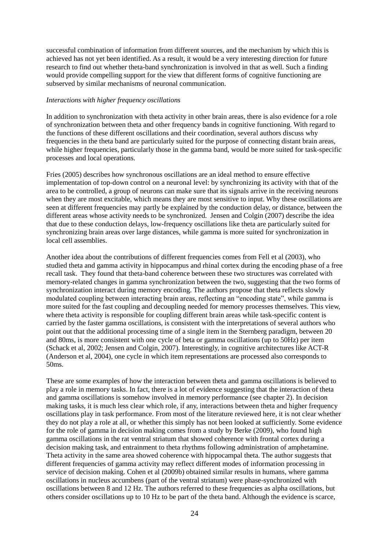successful combination of information from different sources, and the mechanism by which this is achieved has not yet been identified. As a result, it would be a very interesting direction for future research to find out whether theta-band synchronization is involved in that as well. Such a finding would provide compelling support for the view that different forms of cognitive functioning are subserved by similar mechanisms of neuronal communication.

#### *Interactions with higher frequency oscillations*

In addition to synchronization with theta activity in other brain areas, there is also evidence for a role of synchronization between theta and other frequency bands in cognitive functioning. With regard to the functions of these different oscillations and their coordination, several authors discuss why frequencies in the theta band are particularly suited for the purpose of connecting distant brain areas, while higher frequencies, particularly those in the gamma band, would be more suited for task-specific processes and local operations.

Fries (2005) describes how synchronous oscillations are an ideal method to ensure effective implementation of top-down control on a neuronal level: by synchronizing its activity with that of the area to be controlled, a group of neurons can make sure that its signals arrive in the receiving neurons when they are most excitable, which means they are most sensitive to input. Why these oscillations are seen at different frequencies may partly be explained by the conduction delay, or distance, between the different areas whose activity needs to be synchronized. Jensen and Colgin (2007) describe the idea that due to these conduction delays, low-frequency oscillations like theta are particularly suited for synchronizing brain areas over large distances, while gamma is more suited for synchronization in local cell assemblies.

Another idea about the contributions of different frequencies comes from Fell et al (2003), who studied theta and gamma activity in hippocampus and rhinal cortex during the encoding phase of a free recall task. They found that theta-band coherence between these two structures was correlated with memory-related changes in gamma synchronization between the two, suggesting that the two forms of synchronization interact during memory encoding. The authors propose that theta reflects slowly modulated coupling between interacting brain areas, reflecting an "encoding state", while gamma is more suited for the fast coupling and decoupling needed for memory processes themselves. This view, where theta activity is responsible for coupling different brain areas while task-specific content is carried by the faster gamma oscillations, is consistent with the interpretations of several authors who point out that the additional processing time of a single item in the Sternberg paradigm, between 20 and 80ms, is more consistent with one cycle of beta or gamma oscillations (up to 50Hz) per item (Schack et al, 2002; Jensen and Colgin, 2007). Interestingly, in cognitive architectures like ACT-R (Anderson et al, 2004), one cycle in which item representations are processed also corresponds to 50ms.

These are some examples of how the interaction between theta and gamma oscillations is believed to play a role in memory tasks. In fact, there is a lot of evidence suggesting that the interaction of theta and gamma oscillations is somehow involved in memory performance (see chapter 2). In decision making tasks, it is much less clear which role, if any, interactions between theta and higher frequency oscillations play in task performance. From most of the literature reviewed here, it is not clear whether they do not play a role at all, or whether this simply has not been looked at sufficiently. Some evidence for the role of gamma in decision making comes from a study by Berke (2009), who found high gamma oscillations in the rat ventral striatum that showed coherence with frontal cortex during a decision making task, and entrainment to theta rhythms following administration of amphetamine. Theta activity in the same area showed coherence with hippocampal theta. The author suggests that different frequencies of gamma activity may reflect different modes of information processing in service of decision making. Cohen et al (2009b) obtained similar results in humans, where gamma oscillations in nucleus accumbens (part of the ventral striatum) were phase-synchronized with oscillations between 8 and 12 Hz. The authors referred to these frequencies as alpha oscillations, but others consider oscillations up to 10 Hz to be part of the theta band. Although the evidence is scarce,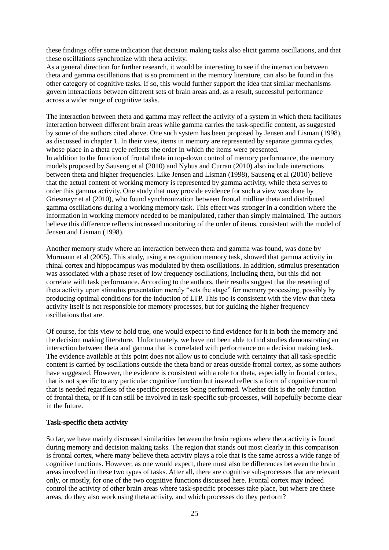these findings offer some indication that decision making tasks also elicit gamma oscillations, and that these oscillations synchronize with theta activity.

As a general direction for further research, it would be interesting to see if the interaction between theta and gamma oscillations that is so prominent in the memory literature, can also be found in this other category of cognitive tasks. If so, this would further support the idea that similar mechanisms govern interactions between different sets of brain areas and, as a result, successful performance across a wider range of cognitive tasks.

The interaction between theta and gamma may reflect the activity of a system in which theta facilitates interaction between different brain areas while gamma carries the task-specific content, as suggested by some of the authors cited above. One such system has been proposed by Jensen and Lisman (1998), as discussed in chapter 1. In their view, items in memory are represented by separate gamma cycles, whose place in a theta cycle reflects the order in which the items were presented. In addition to the function of frontal theta in top-down control of memory performance, the memory models proposed by Sauseng et al (2010) and Nyhus and Curran (2010) also include interactions between theta and higher frequencies. Like Jensen and Lisman (1998), Sauseng et al (2010) believe that the actual content of working memory is represented by gamma activity, while theta serves to order this gamma activity. One study that may provide evidence for such a view was done by Griesmayr et al (2010), who found synchronization between frontal midline theta and distributed gamma oscillations during a working memory task. This effect was stronger in a condition where the information in working memory needed to be manipulated, rather than simply maintained. The authors believe this difference reflects increased monitoring of the order of items, consistent with the model of Jensen and Lisman (1998).

Another memory study where an interaction between theta and gamma was found, was done by Mormann et al (2005). This study, using a recognition memory task, showed that gamma activity in rhinal cortex and hippocampus was modulated by theta oscillations. In addition, stimulus presentation was associated with a phase reset of low frequency oscillations, including theta, but this did not correlate with task performance. According to the authors, their results suggest that the resetting of theta activity upon stimulus presentation merely "sets the stage" for memory processing, possibly by producing optimal conditions for the induction of LTP. This too is consistent with the view that theta activity itself is not responsible for memory processes, but for guiding the higher frequency oscillations that are.

Of course, for this view to hold true, one would expect to find evidence for it in both the memory and the decision making literature. Unfortunately, we have not been able to find studies demonstrating an interaction between theta and gamma that is correlated with performance on a decision making task. The evidence available at this point does not allow us to conclude with certainty that all task-specific content is carried by oscillations outside the theta band or areas outside frontal cortex, as some authors have suggested. However, the evidence is consistent with a role for theta, especially in frontal cortex, that is not specific to any particular cognitive function but instead reflects a form of cognitive control that is needed regardless of the specific processes being performed. Whether this is the only function of frontal theta, or if it can still be involved in task-specific sub-processes, will hopefully become clear in the future.

## **Task-specific theta activity**

So far, we have mainly discussed similarities between the brain regions where theta activity is found during memory and decision making tasks. The region that stands out most clearly in this comparison is frontal cortex, where many believe theta activity plays a role that is the same across a wide range of cognitive functions. However, as one would expect, there must also be differences between the brain areas involved in these two types of tasks. After all, there are cognitive sub-processes that are relevant only, or mostly, for one of the two cognitive functions discussed here. Frontal cortex may indeed control the activity of other brain areas where task-specific processes take place, but where are these areas, do they also work using theta activity, and which processes do they perform?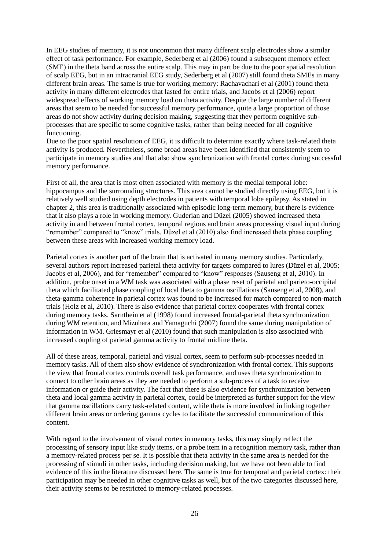In EEG studies of memory, it is not uncommon that many different scalp electrodes show a similar effect of task performance. For example, Sederberg et al (2006) found a subsequent memory effect (SME) in the theta band across the entire scalp. This may in part be due to the poor spatial resolution of scalp EEG, but in an intracranial EEG study, Sederberg et al (2007) still found theta SMEs in many different brain areas. The same is true for working memory: Rachavachari et al (2001) found theta activity in many different electrodes that lasted for entire trials, and Jacobs et al (2006) report widespread effects of working memory load on theta activity. Despite the large number of different areas that seem to be needed for successful memory performance, quite a large proportion of those areas do not show activity during decision making, suggesting that they perform cognitive subprocesses that are specific to some cognitive tasks, rather than being needed for all cognitive functioning.

Due to the poor spatial resolution of EEG, it is difficult to determine exactly where task-related theta activity is produced. Nevertheless, some broad areas have been identified that consistently seem to participate in memory studies and that also show synchronization with frontal cortex during successful memory performance.

First of all, the area that is most often associated with memory is the medial temporal lobe: hippocampus and the surrounding structures. This area cannot be studied directly using EEG, but it is relatively well studied using depth electrodes in patients with temporal lobe epilepsy. As stated in chapter 2, this area is traditionally associated with episodic long-term memory, but there is evidence that it also plays a role in working memory. Guderian and Düzel (2005) showed increased theta activity in and between frontal cortex, temporal regions and brain areas processing visual input during "remember" compared to "know" trials. Düzel et al (2010) also find increased theta phase coupling between these areas with increased working memory load.

Parietal cortex is another part of the brain that is activated in many memory studies. Particularly, several authors report increased parietal theta activity for targets compared to lures (Düzel et al, 2005; Jacobs et al, 2006), and for "remember" compared to "know" responses (Sauseng et al, 2010). In addition, probe onset in a WM task was associated with a phase reset of parietal and parieto-occipital theta which facilitated phase coupling of local theta to gamma oscillations (Sauseng et al, 2008), and theta-gamma coherence in parietal cortex was found to be increased for match compared to non-match trials (Holz et al, 2010). There is also evidence that parietal cortex cooperates with frontal cortex during memory tasks. Sarnthein et al (1998) found increased frontal-parietal theta synchronization during WM retention, and Mizuhara and Yamaguchi (2007) found the same during manipulation of information in WM. Griesmayr et al (2010) found that such manipulation is also associated with increased coupling of parietal gamma activity to frontal midline theta.

All of these areas, temporal, parietal and visual cortex, seem to perform sub-processes needed in memory tasks. All of them also show evidence of synchronization with frontal cortex. This supports the view that frontal cortex controls overall task performance, and uses theta synchronization to connect to other brain areas as they are needed to perform a sub-process of a task to receive information or guide their activity. The fact that there is also evidence for synchronization between theta and local gamma activity in parietal cortex, could be interpreted as further support for the view that gamma oscillations carry task-related content, while theta is more involved in linking together different brain areas or ordering gamma cycles to facilitate the successful communication of this content.

With regard to the involvement of visual cortex in memory tasks, this may simply reflect the processing of sensory input like study items, or a probe item in a recognition memory task, rather than a memory-related process per se. It is possible that theta activity in the same area is needed for the processing of stimuli in other tasks, including decision making, but we have not been able to find evidence of this in the literature discussed here. The same is true for temporal and parietal cortex: their participation may be needed in other cognitive tasks as well, but of the two categories discussed here, their activity seems to be restricted to memory-related processes.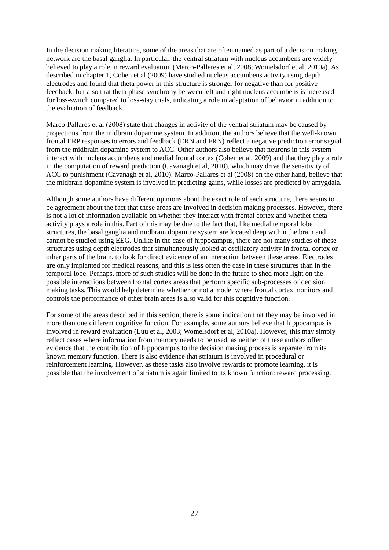In the decision making literature, some of the areas that are often named as part of a decision making network are the basal ganglia. In particular, the ventral striatum with nucleus accumbens are widely believed to play a role in reward evaluation (Marco-Pallares et al, 2008; Womelsdorf et al, 2010a). As described in chapter 1, Cohen et al (2009) have studied nucleus accumbens activity using depth electrodes and found that theta power in this structure is stronger for negative than for positive feedback, but also that theta phase synchrony between left and right nucleus accumbens is increased for loss-switch compared to loss-stay trials, indicating a role in adaptation of behavior in addition to the evaluation of feedback.

Marco-Pallares et al (2008) state that changes in activity of the ventral striatum may be caused by projections from the midbrain dopamine system. In addition, the authors believe that the well-known frontal ERP responses to errors and feedback (ERN and FRN) reflect a negative prediction error signal from the midbrain dopamine system to ACC. Other authors also believe that neurons in this system interact with nucleus accumbens and medial frontal cortex (Cohen et al, 2009) and that they play a role in the computation of reward prediction (Cavanagh et al, 2010), which may drive the sensitivity of ACC to punishment (Cavanagh et al, 2010). Marco-Pallares et al (2008) on the other hand, believe that the midbrain dopamine system is involved in predicting gains, while losses are predicted by amygdala.

Although some authors have different opinions about the exact role of each structure, there seems to be agreement about the fact that these areas are involved in decision making processes. However, there is not a lot of information available on whether they interact with frontal cortex and whether theta activity plays a role in this. Part of this may be due to the fact that, like medial temporal lobe structures, the basal ganglia and midbrain dopamine system are located deep within the brain and cannot be studied using EEG. Unlike in the case of hippocampus, there are not many studies of these structures using depth electrodes that simultaneously looked at oscillatory activity in frontal cortex or other parts of the brain, to look for direct evidence of an interaction between these areas. Electrodes are only implanted for medical reasons, and this is less often the case in these structures than in the temporal lobe. Perhaps, more of such studies will be done in the future to shed more light on the possible interactions between frontal cortex areas that perform specific sub-processes of decision making tasks. This would help determine whether or not a model where frontal cortex monitors and controls the performance of other brain areas is also valid for this cognitive function.

For some of the areas described in this section, there is some indication that they may be involved in more than one different cognitive function. For example, some authors believe that hippocampus is involved in reward evaluation (Luu et al, 2003; Womelsdorf et al, 2010a). However, this may simply reflect cases where information from memory needs to be used, as neither of these authors offer evidence that the contribution of hippocampus to the decision making process is separate from its known memory function. There is also evidence that striatum is involved in procedural or reinforcement learning. However, as these tasks also involve rewards to promote learning, it is possible that the involvement of striatum is again limited to its known function: reward processing.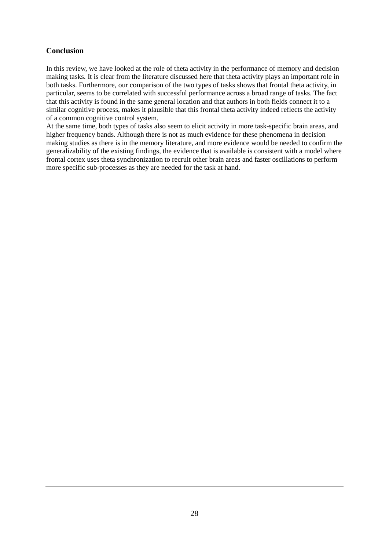# **Conclusion**

In this review, we have looked at the role of theta activity in the performance of memory and decision making tasks. It is clear from the literature discussed here that theta activity plays an important role in both tasks. Furthermore, our comparison of the two types of tasks shows that frontal theta activity, in particular, seems to be correlated with successful performance across a broad range of tasks. The fact that this activity is found in the same general location and that authors in both fields connect it to a similar cognitive process, makes it plausible that this frontal theta activity indeed reflects the activity of a common cognitive control system.

At the same time, both types of tasks also seem to elicit activity in more task-specific brain areas, and higher frequency bands. Although there is not as much evidence for these phenomena in decision making studies as there is in the memory literature, and more evidence would be needed to confirm the generalizability of the existing findings, the evidence that is available is consistent with a model where frontal cortex uses theta synchronization to recruit other brain areas and faster oscillations to perform more specific sub-processes as they are needed for the task at hand.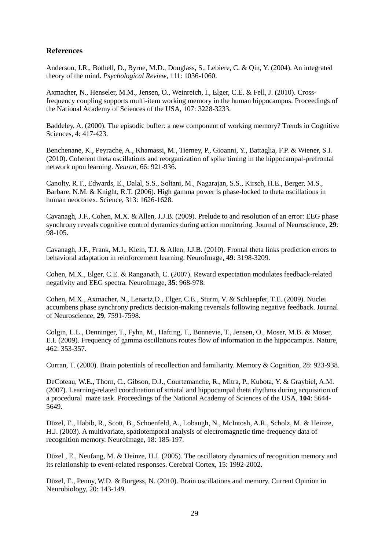# **References**

Anderson, J.R., Bothell, D., Byrne, M.D., Douglass, S., Lebiere, C. & Qin, Y. (2004). An integrated theory of the mind. *Psychological Review*, 111: 1036-1060.

Axmacher, N., Henseler, M.M., Jensen, O., Weinreich, I., Elger, C.E. & Fell, J. (2010). Crossfrequency coupling supports multi-item working memory in the human hippocampus. Proceedings of the National Academy of Sciences of the USA, 107: 3228-3233.

Baddeley, A. (2000). The episodic buffer: a new component of working memory? Trends in Cognitive Sciences, 4: 417-423.

Benchenane, K., Peyrache, A., Khamassi, M., Tierney, P., Gioanni, Y., Battaglia, F.P. & Wiener, S.I. (2010). Coherent theta oscillations and reorganization of spike timing in the hippocampal-prefrontal network upon learning. *Neuron*, 66: 921-936.

Canolty, R.T., Edwards, E., Dalal, S.S., Soltani, M., Nagarajan, S.S., Kirsch, H.E., Berger, M.S., Barbare, N.M. & Knight, R.T. (2006). High gamma power is phase-locked to theta oscillations in human neocortex. Science, 313: 1626-1628.

Cavanagh, J.F., Cohen, M.X. & Allen, J.J.B. (2009). Prelude to and resolution of an error: EEG phase synchrony reveals cognitive control dynamics during action monitoring. Journal of Neuroscience, **29**: 98-105.

Cavanagh, J.F., Frank, M.J., Klein, T.J. & Allen, J.J.B. (2010). Frontal theta links prediction errors to behavioral adaptation in reinforcement learning. NeuroImage, **49**: 3198-3209.

Cohen, M.X., Elger, C.E. & Ranganath, C. (2007). Reward expectation modulates feedback-related negativity and EEG spectra. NeuroImage, **35**: 968-978.

Cohen, M.X., Axmacher, N., Lenartz,D., Elger, C.E., Sturm, V. & Schlaepfer, T.E. (2009). Nuclei accumbens phase synchrony predicts decision-making reversals following negative feedback. Journal of Neuroscience, **29**, 7591-7598.

Colgin, L.L., Denninger, T., Fyhn, M., Hafting, T., Bonnevie, T., Jensen, O., Moser, M.B. & Moser, E.I. (2009). Frequency of gamma oscillations routes flow of information in the hippocampus. Nature, 462: 353-357.

Curran, T. (2000). Brain potentials of recollection and familiarity. Memory & Cognition, 28: 923-938.

DeCoteau, W.E., Thorn, C., Gibson, D.J., Courtemanche, R., Mitra, P., Kubota, Y. & Graybiel, A.M. (2007). Learning-related coordination of striatal and hippocampal theta rhythms during acquisition of a procedural maze task. Proceedings of the National Academy of Sciences of the USA, **104**: 5644- 5649.

Düzel, E., Habib, R., Scott, B., Schoenfeld, A., Lobaugh, N., McIntosh, A.R., Scholz, M. & Heinze, H.J. (2003). A multivariate, spatiotemporal analysis of electromagnetic time-frequency data of recognition memory. NeuroImage, 18: 185-197.

Düzel , E., Neufang, M. & Heinze, H.J. (2005). The oscillatory dynamics of recognition memory and its relationship to event-related responses. Cerebral Cortex, 15: 1992-2002.

Düzel, E., Penny, W.D. & Burgess, N. (2010). Brain oscillations and memory. Current Opinion in Neurobiology, 20: 143-149.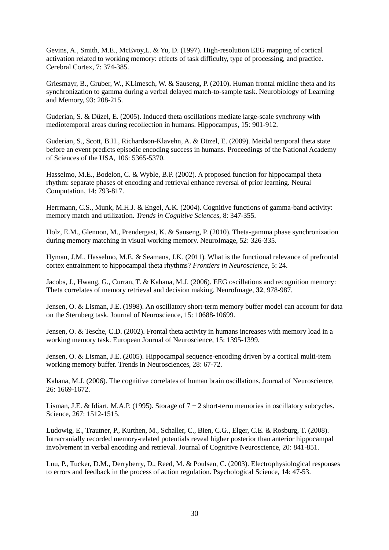Gevins, A., Smith, M.E., McEvoy,L. & Yu, D. (1997). High-resolution EEG mapping of cortical activation related to working memory: effects of task difficulty, type of processing, and practice. Cerebral Cortex, 7: 374-385.

Griesmayr, B., Gruber, W., KLimesch, W. & Sauseng, P. (2010). Human frontal midline theta and its synchronization to gamma during a verbal delayed match-to-sample task. Neurobiology of Learning and Memory, 93: 208-215.

Guderian, S. & Düzel, E. (2005). Induced theta oscillations mediate large-scale synchrony with mediotemporal areas during recollection in humans. Hippocampus, 15: 901-912.

Guderian, S., Scott, B.H., Richardson-Klavehn, A. & Düzel, E. (2009). Meidal temporal theta state before an event predicts episodic encoding success in humans. Proceedings of the National Academy of Sciences of the USA, 106: 5365-5370.

Hasselmo, M.E., Bodelon, C. & Wyble, B.P. (2002). A proposed function for hippocampal theta rhythm: separate phases of encoding and retrieval enhance reversal of prior learning. Neural Computation, 14: 793-817.

Herrmann, C.S., Munk, M.H.J. & Engel, A.K. (2004). Cognitive functions of gamma-band activity: memory match and utilization. *Trends in Cognitive Sciences*, 8: 347-355.

Holz, E.M., Glennon, M., Prendergast, K. & Sauseng, P. (2010). Theta-gamma phase synchronization during memory matching in visual working memory. NeuroImage, 52: 326-335.

Hyman, J.M., Hasselmo, M.E. & Seamans, J.K. (2011). What is the functional relevance of prefrontal cortex entrainment to hippocampal theta rhythms? *Frontiers in Neuroscience*, 5: 24.

Jacobs, J., Hwang, G., Curran, T. & Kahana, M.J. (2006). EEG oscillations and recognition memory: Theta correlates of memory retrieval and decision making. NeuroImage, **32**, 978-987.

Jensen, O. & Lisman, J.E. (1998). An oscillatory short-term memory buffer model can account for data on the Sternberg task. Journal of Neuroscience, 15: 10688-10699.

Jensen, O. & Tesche, C.D. (2002). Frontal theta activity in humans increases with memory load in a working memory task. European Journal of Neuroscience, 15: 1395-1399.

Jensen, O. & Lisman, J.E. (2005). Hippocampal sequence-encoding driven by a cortical multi-item working memory buffer. Trends in Neurosciences, 28: 67-72.

Kahana, M.J. (2006). The cognitive correlates of human brain oscillations. Journal of Neuroscience, 26: 1669-1672.

Lisman, J.E. & Idiart, M.A.P. (1995). Storage of  $7 \pm 2$  short-term memories in oscillatory subcycles. Science, 267: 1512-1515.

Ludowig, E., Trautner, P., Kurthen, M., Schaller, C., Bien, C.G., Elger, C.E. & Rosburg, T. (2008). Intracranially recorded memory-related potentials reveal higher posterior than anterior hippocampal involvement in verbal encoding and retrieval. Journal of Cognitive Neuroscience, 20: 841-851.

Luu, P., Tucker, D.M., Derryberry, D., Reed, M. & Poulsen, C. (2003). Electrophysiological responses to errors and feedback in the process of action regulation. Psychological Science, **14**: 47-53.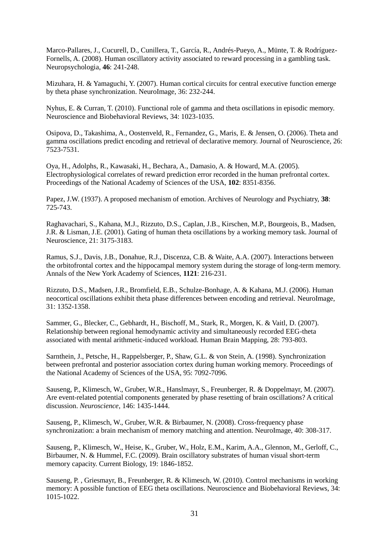Marco-Pallares, J., Cucurell, D., Cunillera, T., García, R., Andrés-Pueyo, A., Münte, T. & Rodríguez-Fornells, A. (2008). Human oscillatory activity associated to reward processing in a gambling task. Neuropsychologia, **46**: 241-248.

Mizuhara, H. & Yamaguchi, Y. (2007). Human cortical circuits for central executive function emerge by theta phase synchronization. NeuroImage, 36: 232-244.

Nyhus, E. & Curran, T. (2010). Functional role of gamma and theta oscillations in episodic memory. Neuroscience and Biobehavioral Reviews, 34: 1023-1035.

Osipova, D., Takashima, A., Oostenveld, R., Fernandez, G., Maris, E. & Jensen, O. (2006). Theta and gamma oscillations predict encoding and retrieval of declarative memory. Journal of Neuroscience, 26: 7523-7531.

Oya, H., Adolphs, R., Kawasaki, H., Bechara, A., Damasio, A. & Howard, M.A. (2005). Electrophysiological correlates of reward prediction error recorded in the human prefrontal cortex. Proceedings of the National Academy of Sciences of the USA, **102**: 8351-8356.

Papez, J.W. (1937). A proposed mechanism of emotion. Archives of Neurology and Psychiatry, **38**: 725-743.

Raghavachari, S., Kahana, M.J., Rizzuto, D.S., Caplan, J.B., Kirschen, M.P., Bourgeois, B., Madsen, J.R. & Lisman, J.E. (2001). Gating of human theta oscillations by a working memory task. Journal of Neuroscience, 21: 3175-3183.

Ramus, S.J., Davis, J.B., Donahue, R.J., Discenza, C.B. & Waite, A.A. (2007). Interactions between the orbitofrontal cortex and the hippocampal memory system during the storage of long-term memory. Annals of the New York Academy of Sciences, **1121**: 216-231.

Rizzuto, D.S., Madsen, J.R., Bromfield, E.B., Schulze-Bonhage, A. & Kahana, M.J. (2006). Human neocortical oscillations exhibit theta phase differences between encoding and retrieval. NeuroImage, 31: 1352-1358.

Sammer, G., Blecker, C., Gebhardt, H., Bischoff, M., Stark, R., Morgen, K. & Vaitl, D. (2007). Relationship between regional hemodynamic activity and simultaneously recorded EEG-theta associated with mental arithmetic-induced workload. Human Brain Mapping, 28: 793-803.

Sarnthein, J., Petsche, H., Rappelsberger, P., Shaw, G.L. & von Stein, A. (1998). Synchronization between prefrontal and posterior association cortex during human working memory. Proceedings of the National Academy of Sciences of the USA, 95: 7092-7096.

Sauseng, P., Klimesch, W., Gruber, W.R., Hanslmayr, S., Freunberger, R. & Doppelmayr, M. (2007). Are event-related potential components generated by phase resetting of brain oscillations? A critical discussion. *Neuroscience*, 146: 1435-1444.

Sauseng, P., Klimesch, W., Gruber, W.R. & Birbaumer, N. (2008). Cross-frequency phase synchronization: a brain mechanism of memory matching and attention. NeuroImage, 40: 308-317.

Sauseng, P., Klimesch, W., Heise, K., Gruber, W., Holz, E.M., Karim, A.A., Glennon, M., Gerloff, C., Birbaumer, N. & Hummel, F.C. (2009). Brain oscillatory substrates of human visual short-term memory capacity. Current Biology, 19: 1846-1852.

Sauseng, P. , Griesmayr, B., Freunberger, R. & Klimesch, W. (2010). Control mechanisms in working memory: A possible function of EEG theta oscillations. Neuroscience and Biobehavioral Reviews, 34: 1015-1022.